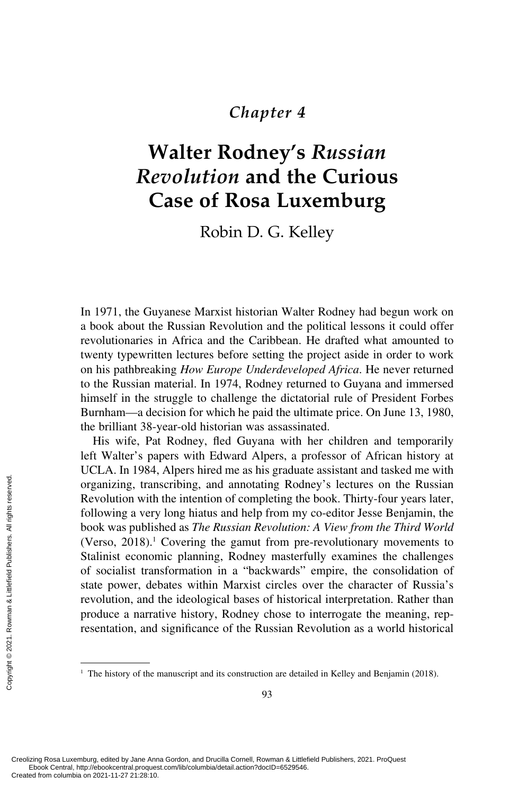# *Chapter 4*

# **Walter Rodney's** *Russian Revolution* **and the Curious [Case of Rosa Luxemburg](#page--1-0)**

Robin D. G. Kelley

In 1971, the Guyanese Marxist historian Walter Rodney had begun work on a book about the Russian Revolution and the political lessons it could offer revolutionaries in Africa and the Caribbean. He drafted what amounted to twenty typewritten lectures before setting the project aside in order to work on his pathbreaking *How Europe Underdeveloped Africa*. He never returned to the Russian material. In 1974, Rodney returned to Guyana and immersed himself in the struggle to challenge the dictatorial rule of President Forbes Burnham—a decision for which he paid the ultimate price. On June 13, 1980, the brilliant 38-year-old historian was assassinated.

His wife, Pat Rodney, fled Guyana with her children and temporarily left Walter's papers with Edward Alpers, a professor of African history at UCLA. In 1984, Alpers hired me as his graduate assistant and tasked me with organizing, transcribing, and annotating Rodney's lectures on the Russian Revolution with the intention of completing the book. Thirty-four years later, following a very long hiatus and help from my co-editor Jesse Benjamin, the book was published as *The Russian Revolution: A View from the Third World* (Verso, 2018).<sup>1</sup> Covering the gamut from pre-revolutionary movements to Stalinist economic planning, Rodney masterfully examines the challenges of socialist transformation in a "backwards" empire, the consolidation of state power, debates within Marxist circles over the character of Russia's revolution, and the ideological bases of historical interpretation. Rather than produce a narrative history, Rodney chose to interrogate the meaning, representation, and significance of the Russian Revolution as a world historical Example the columbia on 2021-11-27 21:28:10.<br>
Created from columbia on 2021-127 21:28:10.<br>
Created from columbia on 2021-11-27 21:28:10.<br>
Created from columbia on 2021-11-27 21:28:10.

<sup>&</sup>lt;sup>1</sup> The history of the manuscript and its construction are detailed in Kelley and Benjamin (2018).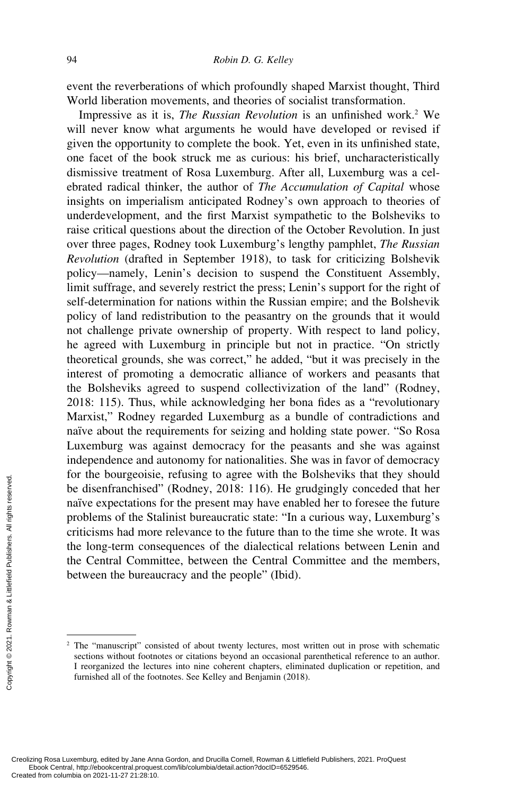event the reverberations of which profoundly shaped Marxist thought, Third World liberation movements, and theories of socialist transformation.

Impressive as it is, *The Russian Revolution* is an unfinished work.<sup>2</sup> We will never know what arguments he would have developed or revised if given the opportunity to complete the book. Yet, even in its unfinished state, one facet of the book struck me as curious: his brief, uncharacteristically dismissive treatment of Rosa Luxemburg. After all, Luxemburg was a celebrated radical thinker, the author of *The Accumulation of Capital* whose insights on imperialism anticipated Rodney's own approach to theories of underdevelopment, and the first Marxist sympathetic to the Bolsheviks to raise critical questions about the direction of the October Revolution. In just over three pages, Rodney took Luxemburg's lengthy pamphlet, *The Russian Revolution* (drafted in September 1918), to task for criticizing Bolshevik policy—namely, Lenin's decision to suspend the Constituent Assembly, limit suffrage, and severely restrict the press; Lenin's support for the right of self-determination for nations within the Russian empire; and the Bolshevik policy of land redistribution to the peasantry on the grounds that it would not challenge private ownership of property. With respect to land policy, he agreed with Luxemburg in principle but not in practice. "On strictly theoretical grounds, she was correct," he added, "but it was precisely in the interest of promoting a democratic alliance of workers and peasants that the Bolsheviks agreed to suspend collectivization of the land" (Rodney, 2018: 115). Thus, while acknowledging her bona fides as a "revolutionary Marxist," Rodney regarded Luxemburg as a bundle of contradictions and naïve about the requirements for seizing and holding state power. "So Rosa Luxemburg was against democracy for the peasants and she was against independence and autonomy for nationalities. She was in favor of democracy for the bourgeoisie, refusing to agree with the Bolsheviks that they should be disenfranchised" (Rodney, 2018: 116). He grudgingly conceded that her naïve expectations for the present may have enabled her to foresee the future problems of the Stalinist bureaucratic state: "In a curious way, Luxemburg's criticisms had more relevance to the future than to the time she wrote. It was the long-term consequences of the dialectical relations between Lenin and the Central Committee, between the Central Committee and the members, between the bureaucracy and the people" (Ibid). From Created from columbia on 2021-11-27 21:28:10.<br>Created from columbia on 2021-11-27 21:28:10.<br>Created from columbia on 2021-11-27 21:28:10.<br>Created from columbia on 2021-11-27 21:28:10.

<sup>&</sup>lt;sup>2</sup> The "manuscript" consisted of about twenty lectures, most written out in prose with schematic sections without footnotes or citations beyond an occasional parenthetical reference to an author. I reorganized the lectures into nine coherent chapters, eliminated duplication or repetition, and furnished all of the footnotes. See Kelley and Benjamin (2018).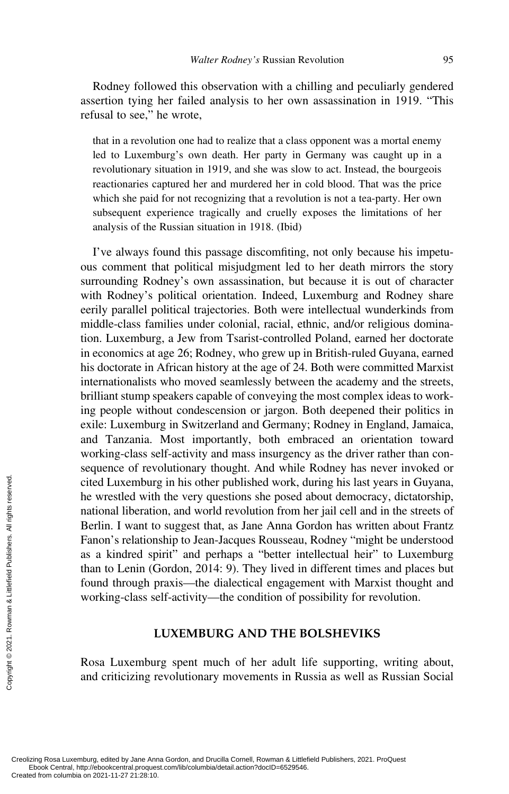Rodney followed this observation with a chilling and peculiarly gendered assertion tying her failed analysis to her own assassination in 1919. "This refusal to see," he wrote,

that in a revolution one had to realize that a class opponent was a mortal enemy led to Luxemburg's own death. Her party in Germany was caught up in a revolutionary situation in 1919, and she was slow to act. Instead, the bourgeois reactionaries captured her and murdered her in cold blood. That was the price which she paid for not recognizing that a revolution is not a tea-party. Her own subsequent experience tragically and cruelly exposes the limitations of her analysis of the Russian situation in 1918. (Ibid)

I've always found this passage discomfiting, not only because his impetuous comment that political misjudgment led to her death mirrors the story surrounding Rodney's own assassination, but because it is out of character with Rodney's political orientation. Indeed, Luxemburg and Rodney share eerily parallel political trajectories. Both were intellectual wunderkinds from middle-class families under colonial, racial, ethnic, and/or religious domination. Luxemburg, a Jew from Tsarist-controlled Poland, earned her doctorate in economics at age 26; Rodney, who grew up in British-ruled Guyana, earned his doctorate in African history at the age of 24. Both were committed Marxist internationalists who moved seamlessly between the academy and the streets, brilliant stump speakers capable of conveying the most complex ideas to working people without condescension or jargon. Both deepened their politics in exile: Luxemburg in Switzerland and Germany; Rodney in England, Jamaica, and Tanzania. Most importantly, both embraced an orientation toward working-class self-activity and mass insurgency as the driver rather than consequence of revolutionary thought. And while Rodney has never invoked or cited Luxemburg in his other published work, during his last years in Guyana, he wrestled with the very questions she posed about democracy, dictatorship, national liberation, and world revolution from her jail cell and in the streets of Berlin. I want to suggest that, as Jane Anna Gordon has written about Frantz Fanon's relationship to Jean-Jacques Rousseau, Rodney "might be understood as a kindred spirit" and perhaps a "better intellectual heir" to Luxemburg than to Lenin (Gordon, 2014: 9). They lived in different times and places but found through praxis—the dialectical engagement with Marxist thought and working-class self-activity—the condition of possibility for revolution. Exerces the columbia on 2021-11-27 21:28:10.<br>Created from columbia on 2021-11-27 21:28:10.<br>Created from columbia on 2021-11-27 21:28:10.<br>Created from columbia on 2021-11-27 21:28:10.

## **LUXEMBURG AND THE BOLSHEVIKS**

Rosa Luxemburg spent much of her adult life supporting, writing about, and criticizing revolutionary movements in Russia as well as Russian Social

Creolizing Rosa Luxemburg, edited by Jane Anna Gordon, and Drucilla Cornell, Rowman & Littlefield Publishers, 2021. ProQuest Ebook Central, http://ebookcentral.proquest.com/lib/columbia/detail.action?docID=6529546.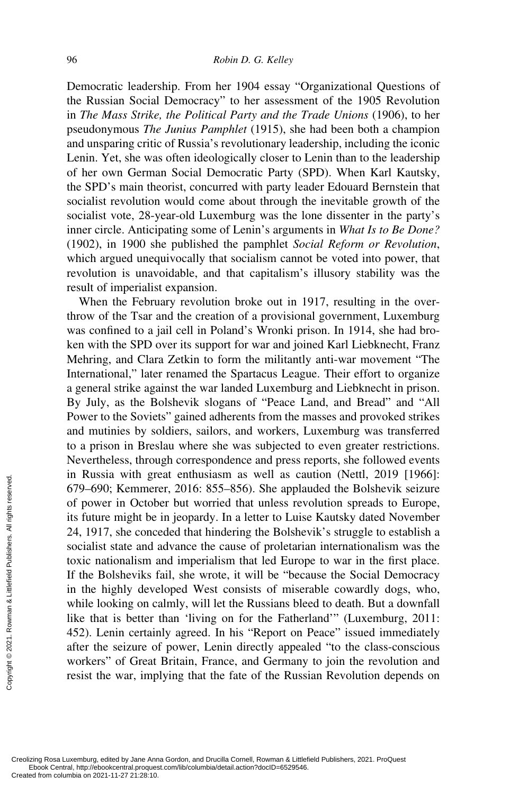Democratic leadership. From her 1904 essay "Organizational Questions of the Russian Social Democracy" to her assessment of the 1905 Revolution in *The Mass Strike, the Political Party and the Trade Unions* (1906), to her pseudonymous *The Junius Pamphlet* (1915), she had been both a champion and unsparing critic of Russia's revolutionary leadership, including the iconic Lenin. Yet, she was often ideologically closer to Lenin than to the leadership of her own German Social Democratic Party (SPD). When Karl Kautsky, the SPD's main theorist, concurred with party leader Edouard Bernstein that socialist revolution would come about through the inevitable growth of the socialist vote, 28-year-old Luxemburg was the lone dissenter in the party's inner circle. Anticipating some of Lenin's arguments in *What Is to Be Done?* (1902), in 1900 she published the pamphlet *Social Reform or Revolution*, which argued unequivocally that socialism cannot be voted into power, that revolution is unavoidable, and that capitalism's illusory stability was the result of imperialist expansion.

When the February revolution broke out in 1917, resulting in the overthrow of the Tsar and the creation of a provisional government, Luxemburg was confined to a jail cell in Poland's Wronki prison. In 1914, she had broken with the SPD over its support for war and joined Karl Liebknecht, Franz Mehring, and Clara Zetkin to form the militantly anti-war movement "The International," later renamed the Spartacus League. Their effort to organize a general strike against the war landed Luxemburg and Liebknecht in prison. By July, as the Bolshevik slogans of "Peace Land, and Bread" and "All Power to the Soviets" gained adherents from the masses and provoked strikes and mutinies by soldiers, sailors, and workers, Luxemburg was transferred to a prison in Breslau where she was subjected to even greater restrictions. Nevertheless, through correspondence and press reports, she followed events in Russia with great enthusiasm as well as caution (Nettl, 2019 [1966]: 679–690; Kemmerer, 2016: 855–856). She applauded the Bolshevik seizure of power in October but worried that unless revolution spreads to Europe, its future might be in jeopardy. In a letter to Luise Kautsky dated November 24, 1917, she conceded that hindering the Bolshevik's struggle to establish a socialist state and advance the cause of proletarian internationalism was the toxic nationalism and imperialism that led Europe to war in the first place. If the Bolsheviks fail, she wrote, it will be "because the Social Democracy in the highly developed West consists of miserable cowardly dogs, who, while looking on calmly, will let the Russians bleed to death. But a downfall like that is better than 'living on for the Fatherland'" (Luxemburg, 2011: 452). Lenin certainly agreed. In his "Report on Peace" issued immediately after the seizure of power, Lenin directly appealed "to the class-conscious workers" of Great Britain, France, and Germany to join the revolution and resist the war, implying that the fate of the Russian Revolution depends on Example 20<br>
Example 24, 1917, she conce<br>
socialist state and a<br>
toxic nationalism a<br>
If the Bolsheviks f<br>
in the highly deve<br>
while looking on c:<br>
like that is better<br>
452). Lenin certair<br>
after the seizure of<br>
workers" o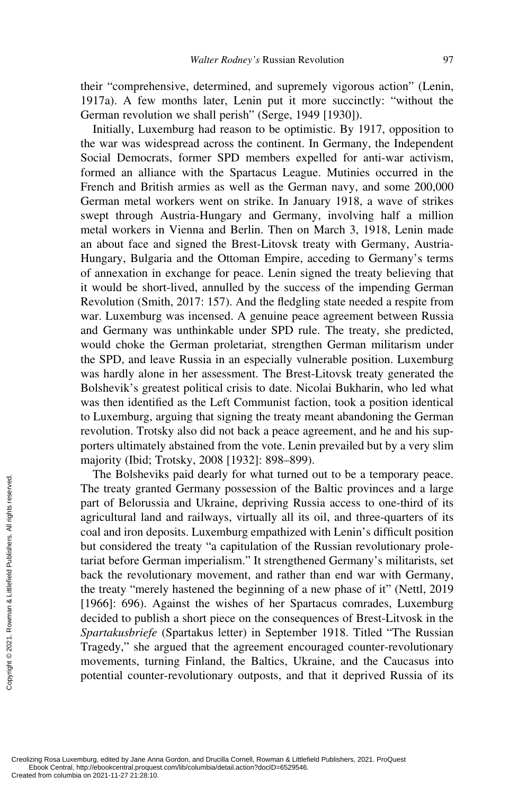their "comprehensive, determined, and supremely vigorous action" (Lenin, 1917a). A few months later, Lenin put it more succinctly: "without the German revolution we shall perish" (Serge, 1949 [1930]).

Initially, Luxemburg had reason to be optimistic. By 1917, opposition to the war was widespread across the continent. In Germany, the Independent Social Democrats, former SPD members expelled for anti-war activism, formed an alliance with the Spartacus League. Mutinies occurred in the French and British armies as well as the German navy, and some 200,000 German metal workers went on strike. In January 1918, a wave of strikes swept through Austria-Hungary and Germany, involving half a million metal workers in Vienna and Berlin. Then on March 3, 1918, Lenin made an about face and signed the Brest-Litovsk treaty with Germany, Austria-Hungary, Bulgaria and the Ottoman Empire, acceding to Germany's terms of annexation in exchange for peace. Lenin signed the treaty believing that it would be short-lived, annulled by the success of the impending German Revolution (Smith, 2017: 157). And the fledgling state needed a respite from war. Luxemburg was incensed. A genuine peace agreement between Russia and Germany was unthinkable under SPD rule. The treaty, she predicted, would choke the German proletariat, strengthen German militarism under the SPD, and leave Russia in an especially vulnerable position. Luxemburg was hardly alone in her assessment. The Brest-Litovsk treaty generated the Bolshevik's greatest political crisis to date. Nicolai Bukharin, who led what was then identified as the Left Communist faction, took a position identical to Luxemburg, arguing that signing the treaty meant abandoning the German revolution. Trotsky also did not back a peace agreement, and he and his supporters ultimately abstained from the vote. Lenin prevailed but by a very slim majority (Ibid; Trotsky, 2008 [1932]: 898–899).

The Bolsheviks paid dearly for what turned out to be a temporary peace. The treaty granted Germany possession of the Baltic provinces and a large part of Belorussia and Ukraine, depriving Russia access to one-third of its agricultural land and railways, virtually all its oil, and three-quarters of its coal and iron deposits. Luxemburg empathized with Lenin's difficult position but considered the treaty "a capitulation of the Russian revolutionary proletariat before German imperialism." It strengthened Germany's militarists, set back the revolutionary movement, and rather than end war with Germany, the treaty "merely hastened the beginning of a new phase of it" (Nettl, 2019 [1966]: 696). Against the wishes of her Spartacus comrades, Luxemburg decided to publish a short piece on the consequences of Brest-Litvosk in the *Spartakusbriefe* (Spartakus letter) in September 1918. Titled "The Russian Tragedy," she argued that the agreement encouraged counter-revolutionary movements, turning Finland, the Baltics, Ukraine, and the Caucasus into potential counter-revolutionary outposts, and that it deprived Russia of its The Botshevin<br>  $\frac{1}{2}$  The treaty grant<br>
part of Beloruss<br>
agricultural land<br>
coal and iron de<br>
but considered t<br>
tariat before Ger<br>
back the revolu<br>
the treaty "mere<br>
[1966]: 696). A<br>
decided to publi<br> *Spartakusbriefe*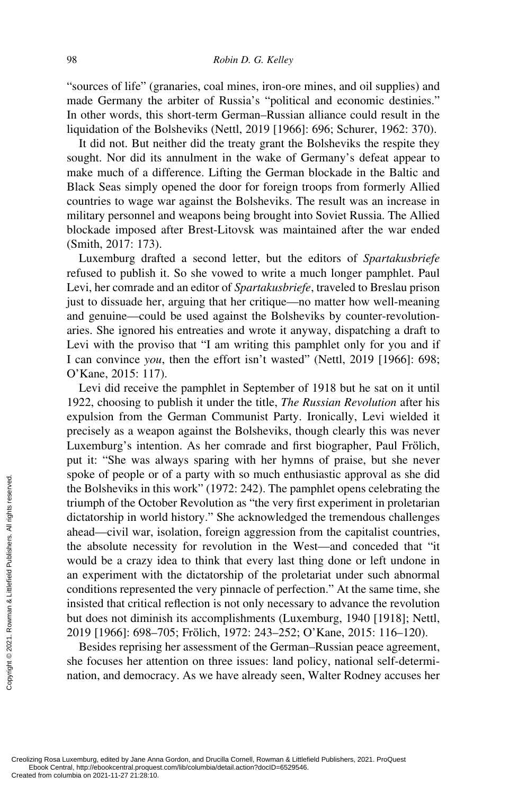"sources of life" (granaries, coal mines, iron-ore mines, and oil supplies) and made Germany the arbiter of Russia's "political and economic destinies." In other words, this short-term German–Russian alliance could result in the liquidation of the Bolsheviks (Nettl, 2019 [1966]: 696; Schurer, 1962: 370).

It did not. But neither did the treaty grant the Bolsheviks the respite they sought. Nor did its annulment in the wake of Germany's defeat appear to make much of a difference. Lifting the German blockade in the Baltic and Black Seas simply opened the door for foreign troops from formerly Allied countries to wage war against the Bolsheviks. The result was an increase in military personnel and weapons being brought into Soviet Russia. The Allied blockade imposed after Brest-Litovsk was maintained after the war ended (Smith, 2017: 173).

Luxemburg drafted a second letter, but the editors of *Spartakusbriefe* refused to publish it. So she vowed to write a much longer pamphlet. Paul Levi, her comrade and an editor of *Spartakusbriefe*, traveled to Breslau prison just to dissuade her, arguing that her critique—no matter how well-meaning and genuine—could be used against the Bolsheviks by counter-revolutionaries. She ignored his entreaties and wrote it anyway, dispatching a draft to Levi with the proviso that "I am writing this pamphlet only for you and if I can convince *you*, then the effort isn't wasted" (Nettl, 2019 [1966]: 698; O'Kane, 2015: 117).

Levi did receive the pamphlet in September of 1918 but he sat on it until 1922, choosing to publish it under the title, *The Russian Revolution* after his expulsion from the German Communist Party. Ironically, Levi wielded it precisely as a weapon against the Bolsheviks, though clearly this was never Luxemburg's intention. As her comrade and first biographer, Paul Frölich, put it: "She was always sparing with her hymns of praise, but she never spoke of people or of a party with so much enthusiastic approval as she did the Bolsheviks in this work" (1972: 242). The pamphlet opens celebrating the triumph of the October Revolution as "the very first experiment in proletarian dictatorship in world history." She acknowledged the tremendous challenges ahead—civil war, isolation, foreign aggression from the capitalist countries, the absolute necessity for revolution in the West—and conceded that "it would be a crazy idea to think that every last thing done or left undone in an experiment with the dictatorship of the proletariat under such abnormal conditions represented the very pinnacle of perfection." At the same time, she insisted that critical reflection is not only necessary to advance the revolution but does not diminish its accomplishments (Luxemburg, 1940 [1918]; Nettl, 2019 [1966]: 698–705; Frölich, 1972: 243–252; O'Kane, 2015: 116–120). Exercise the Bolsheviks in the Holsheviks in the Holsheviks in the distance of dictatorship in word ahead—civil war, if the absolute neces would be a crazy in an experiment with conditions represent insisted that critica

Besides reprising her assessment of the German–Russian peace agreement, she focuses her attention on three issues: land policy, national self-determination, and democracy. As we have already seen, Walter Rodney accuses her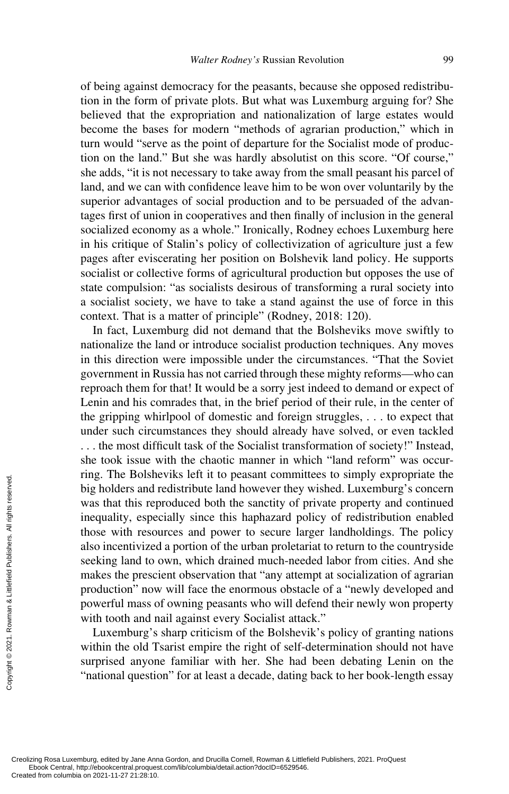of being against democracy for the peasants, because she opposed redistribution in the form of private plots. But what was Luxemburg arguing for? She believed that the expropriation and nationalization of large estates would become the bases for modern "methods of agrarian production," which in turn would "serve as the point of departure for the Socialist mode of production on the land." But she was hardly absolutist on this score. "Of course," she adds, "it is not necessary to take away from the small peasant his parcel of land, and we can with confidence leave him to be won over voluntarily by the superior advantages of social production and to be persuaded of the advantages first of union in cooperatives and then finally of inclusion in the general socialized economy as a whole." Ironically, Rodney echoes Luxemburg here in his critique of Stalin's policy of collectivization of agriculture just a few pages after eviscerating her position on Bolshevik land policy. He supports socialist or collective forms of agricultural production but opposes the use of state compulsion: "as socialists desirous of transforming a rural society into a socialist society, we have to take a stand against the use of force in this context. That is a matter of principle" (Rodney, 2018: 120).

In fact, Luxemburg did not demand that the Bolsheviks move swiftly to nationalize the land or introduce socialist production techniques. Any moves in this direction were impossible under the circumstances. "That the Soviet government in Russia has not carried through these mighty reforms—who can reproach them for that! It would be a sorry jest indeed to demand or expect of Lenin and his comrades that, in the brief period of their rule, in the center of the gripping whirlpool of domestic and foreign struggles, . . . to expect that under such circumstances they should already have solved, or even tackled . . . the most difficult task of the Socialist transformation of society!" Instead, she took issue with the chaotic manner in which "land reform" was occurring. The Bolsheviks left it to peasant committees to simply expropriate the big holders and redistribute land however they wished. Luxemburg's concern was that this reproduced both the sanctity of private property and continued inequality, especially since this haphazard policy of redistribution enabled those with resources and power to secure larger landholdings. The policy also incentivized a portion of the urban proletariat to return to the countryside seeking land to own, which drained much-needed labor from cities. And she makes the prescient observation that "any attempt at socialization of agrarian production" now will face the enormous obstacle of a "newly developed and powerful mass of owning peasants who will defend their newly won property with tooth and nail against every Socialist attack." Exerces the preserved from columbia on 2021-11-27 21:28:10.<br>Created from columbia on 2021-11-27 21:28:10.<br>Created from columbia on 2021-11-27 21:28:10.

Luxemburg's sharp criticism of the Bolshevik's policy of granting nations within the old Tsarist empire the right of self-determination should not have surprised anyone familiar with her. She had been debating Lenin on the "national question" for at least a decade, dating back to her book-length essay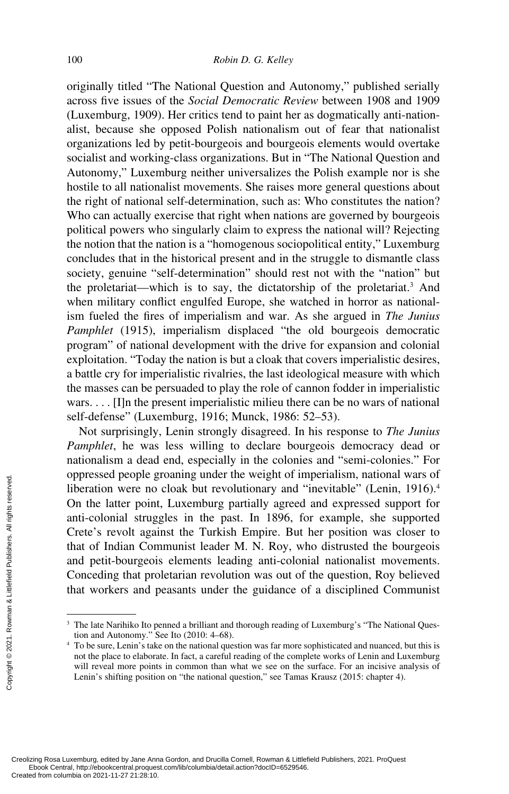originally titled "The National Question and Autonomy," published serially across five issues of the *Social Democratic Review* between 1908 and 1909 (Luxemburg, 1909). Her critics tend to paint her as dogmatically anti-nationalist, because she opposed Polish nationalism out of fear that nationalist organizations led by petit-bourgeois and bourgeois elements would overtake socialist and working-class organizations. But in "The National Question and Autonomy," Luxemburg neither universalizes the Polish example nor is she hostile to all nationalist movements. She raises more general questions about the right of national self-determination, such as: Who constitutes the nation? Who can actually exercise that right when nations are governed by bourgeois political powers who singularly claim to express the national will? Rejecting the notion that the nation is a "homogenous sociopolitical entity," Luxemburg concludes that in the historical present and in the struggle to dismantle class society, genuine "self-determination" should rest not with the "nation" but the proletariat—which is to say, the dictatorship of the proletariat.<sup>3</sup> And when military conflict engulfed Europe, she watched in horror as nationalism fueled the fires of imperialism and war. As she argued in *The Junius Pamphlet* (1915), imperialism displaced "the old bourgeois democratic program" of national development with the drive for expansion and colonial exploitation. "Today the nation is but a cloak that covers imperialistic desires, a battle cry for imperialistic rivalries, the last ideological measure with which the masses can be persuaded to play the role of cannon fodder in imperialistic wars. . . . [I]n the present imperialistic milieu there can be no wars of national self-defense" (Luxemburg, 1916; Munck, 1986: 52–53).

Not surprisingly, Lenin strongly disagreed. In his response to *The Junius Pamphlet*, he was less willing to declare bourgeois democracy dead or nationalism a dead end, especially in the colonies and "semi-colonies." For oppressed people groaning under the weight of imperialism, national wars of liberation were no cloak but revolutionary and "inevitable" (Lenin, 1916).<sup>4</sup> On the latter point, Luxemburg partially agreed and expressed support for anti-colonial struggles in the past. In 1896, for example, she supported Crete's revolt against the Turkish Empire. But her position was closer to that of Indian Communist leader M. N. Roy, who distrusted the bourgeois and petit-bourgeois elements leading anti-colonial nationalist movements. Conceding that proletarian revolution was out of the question, Roy believed that workers and peasants under the guidance of a disciplined Communist Example the state of the latter point<br>  $\frac{1}{2}$  create's revolt again<br>
that of Indian Con<br>
and petit-bourgeoi<br>  $\frac{1}{2}$  conceding that provides<br>  $\frac{1}{2}$  conceding that provides and petit-bourgeoi<br>  $\frac{1}{2}$ <br>  $\frac{1}{2}$ 

<sup>&</sup>lt;sup>3</sup> The late Narihiko Ito penned a brilliant and thorough reading of Luxemburg's "The National Question and Autonomy." See Ito (2010: 4–68).

<sup>4</sup> To be sure, Lenin's take on the national question was far more sophisticated and nuanced, but this is not the place to elaborate. In fact, a careful reading of the complete works of Lenin and Luxemburg will reveal more points in common than what we see on the surface. For an incisive analysis of Lenin's shifting position on "the national question," see Tamas Krausz (2015: chapter 4).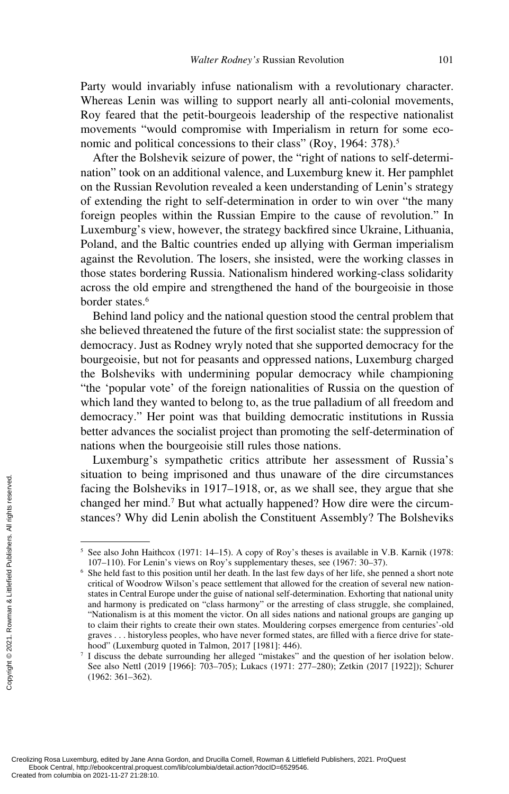Party would invariably infuse nationalism with a revolutionary character. Whereas Lenin was willing to support nearly all anti-colonial movements, Roy feared that the petit-bourgeois leadership of the respective nationalist movements "would compromise with Imperialism in return for some economic and political concessions to their class" (Roy, 1964: 378).<sup>5</sup>

After the Bolshevik seizure of power, the "right of nations to self-determination" took on an additional valence, and Luxemburg knew it. Her pamphlet on the Russian Revolution revealed a keen understanding of Lenin's strategy of extending the right to self-determination in order to win over "the many foreign peoples within the Russian Empire to the cause of revolution." In Luxemburg's view, however, the strategy backfired since Ukraine, Lithuania, Poland, and the Baltic countries ended up allying with German imperialism against the Revolution. The losers, she insisted, were the working classes in those states bordering Russia. Nationalism hindered working-class solidarity across the old empire and strengthened the hand of the bourgeoisie in those border states.<sup>6</sup>

Behind land policy and the national question stood the central problem that she believed threatened the future of the first socialist state: the suppression of democracy. Just as Rodney wryly noted that she supported democracy for the bourgeoisie, but not for peasants and oppressed nations, Luxemburg charged the Bolsheviks with undermining popular democracy while championing "the 'popular vote' of the foreign nationalities of Russia on the question of which land they wanted to belong to, as the true palladium of all freedom and democracy." Her point was that building democratic institutions in Russia better advances the socialist project than promoting the self-determination of nations when the bourgeoisie still rules those nations.

Luxemburg's sympathetic critics attribute her assessment of Russia's situation to being imprisoned and thus unaware of the dire circumstances facing the Bolsheviks in 1917–1918, or, as we shall see, they argue that she changed her mind.<sup>7</sup> But what actually happened? How dire were the circumstances? Why did Lenin abolish the Constituent Assembly? The Bolsheviks

<sup>5</sup> See also John Haithcox (1971: 14–15). A copy of Roy's theses is available in V.B. Karnik (1978: 107–110). For Lenin's views on Roy's supplementary theses, see (1967: 30–37).

<sup>6</sup> She held fast to this position until her death. In the last few days of her life, she penned a short note critical of Woodrow Wilson's peace settlement that allowed for the creation of several new nationstates in Central Europe under the guise of national self-determination. Exhorting that national unity and harmony is predicated on "class harmony" or the arresting of class struggle, she complained, "Nationalism is at this moment the victor. On all sides nations and national groups are ganging up to claim their rights to create their own states. Mouldering corpses emergence from centuries'-old graves . . . historyless peoples, who have never formed states, are filled with a fierce drive for statehood" (Luxemburg quoted in Talmon, 2017 [1981]: 446). Exercise the Bolsk<br>
Stances? Why d:<br>
Stances? Why distances? Why distances? Why distances? Why distances? Why distances? Why distances? Stances? Stances of the See also John Hait 107–110). For Leni<br>
6 She held fast to thi

<sup>7</sup> I discuss the debate surrounding her alleged "mistakes" and the question of her isolation below. See also Nettl (2019 [1966]: 703–705); Lukacs (1971: 277–280); Zetkin (2017 [1922]); Schurer (1962: 361–362).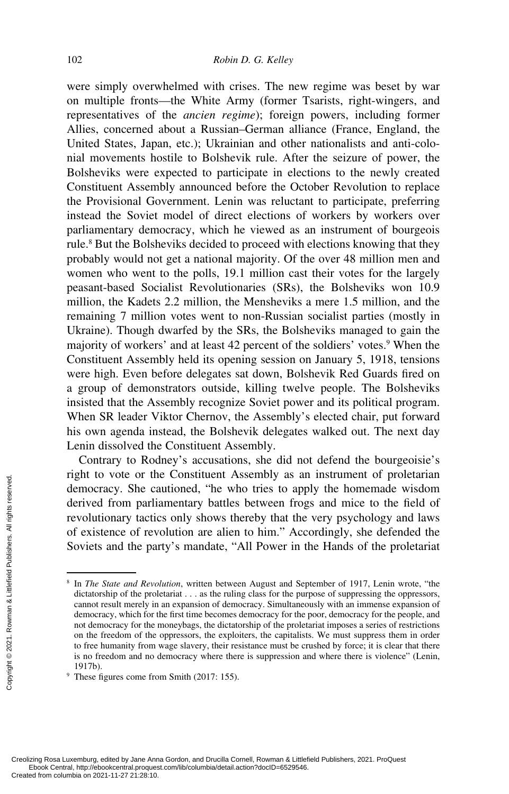were simply overwhelmed with crises. The new regime was beset by war on multiple fronts—the White Army (former Tsarists, right-wingers, and representatives of the *ancien regime*); foreign powers, including former Allies, concerned about a Russian–German alliance (France, England, the United States, Japan, etc.); Ukrainian and other nationalists and anti-colonial movements hostile to Bolshevik rule. After the seizure of power, the Bolsheviks were expected to participate in elections to the newly created Constituent Assembly announced before the October Revolution to replace the Provisional Government. Lenin was reluctant to participate, preferring instead the Soviet model of direct elections of workers by workers over parliamentary democracy, which he viewed as an instrument of bourgeois rule.<sup>8</sup> But the Bolsheviks decided to proceed with elections knowing that they probably would not get a national majority. Of the over 48 million men and women who went to the polls, 19.1 million cast their votes for the largely peasant-based Socialist Revolutionaries (SRs), the Bolsheviks won 10.9 million, the Kadets 2.2 million, the Mensheviks a mere 1.5 million, and the remaining 7 million votes went to non-Russian socialist parties (mostly in Ukraine). Though dwarfed by the SRs, the Bolsheviks managed to gain the majority of workers' and at least 42 percent of the soldiers' votes.<sup>9</sup> When the Constituent Assembly held its opening session on January 5, 1918, tensions were high. Even before delegates sat down, Bolshevik Red Guards fired on a group of demonstrators outside, killing twelve people. The Bolsheviks insisted that the Assembly recognize Soviet power and its political program. When SR leader Viktor Chernov, the Assembly's elected chair, put forward his own agenda instead, the Bolshevik delegates walked out. The next day Lenin dissolved the Constituent Assembly.

Contrary to Rodney's accusations, she did not defend the bourgeoisie's right to vote or the Constituent Assembly as an instrument of proletarian democracy. She cautioned, "he who tries to apply the homemade wisdom derived from parliamentary battles between frogs and mice to the field of revolutionary tactics only shows thereby that the very psychology and laws of existence of revolution are alien to him." Accordingly, she defended the Soviets and the party's mandate, "All Power in the Hands of the proletariat

<sup>8</sup> In *The State and Revolution*, written between August and September of 1917, Lenin wrote, "the dictatorship of the proletariat . . . as the ruling class for the purpose of suppressing the oppressors, cannot result merely in an expansion of democracy. Simultaneously with an immense expansion of democracy, which for the first time becomes democracy for the poor, democracy for the people, and not democracy for the moneybags, the dictatorship of the proletariat imposes a series of restrictions on the freedom of the oppressors, the exploiters, the capitalists. We must suppress them in order to free humanity from wage slavery, their resistance must be crushed by force; it is clear that there is no freedom and no democracy where there is suppression and where there is violence" (Lenin, 1917b). Exerces are the different of the columbia on 2021-11-27 21:28:10.<br>Created from a created from particles and the particle of existence of rev<br>Soviets and the particle particle of the productatorship of the productatorship

<sup>9</sup> These figures come from Smith (2017: 155).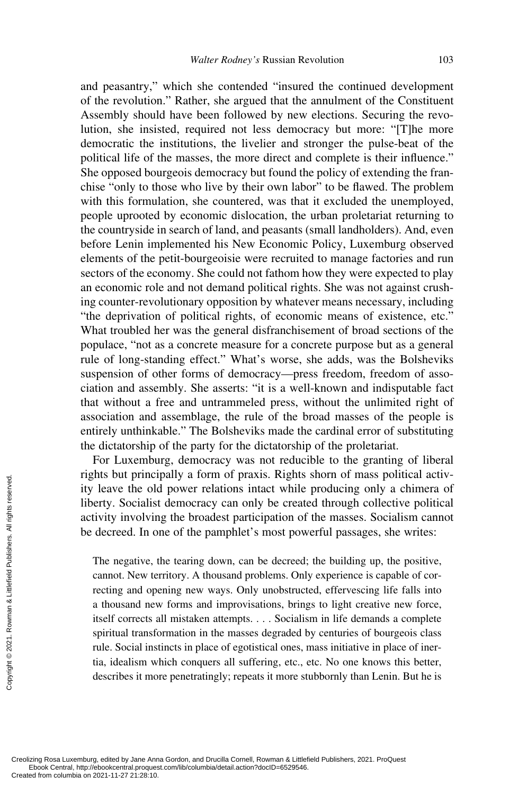and peasantry," which she contended "insured the continued development of the revolution." Rather, she argued that the annulment of the Constituent Assembly should have been followed by new elections. Securing the revolution, she insisted, required not less democracy but more: "[T]he more democratic the institutions, the livelier and stronger the pulse-beat of the political life of the masses, the more direct and complete is their influence." She opposed bourgeois democracy but found the policy of extending the franchise "only to those who live by their own labor" to be flawed. The problem with this formulation, she countered, was that it excluded the unemployed, people uprooted by economic dislocation, the urban proletariat returning to the countryside in search of land, and peasants (small landholders). And, even before Lenin implemented his New Economic Policy, Luxemburg observed elements of the petit-bourgeoisie were recruited to manage factories and run sectors of the economy. She could not fathom how they were expected to play an economic role and not demand political rights. She was not against crushing counter-revolutionary opposition by whatever means necessary, including "the deprivation of political rights, of economic means of existence, etc." What troubled her was the general disfranchisement of broad sections of the populace, "not as a concrete measure for a concrete purpose but as a general rule of long-standing effect." What's worse, she adds, was the Bolsheviks suspension of other forms of democracy—press freedom, freedom of association and assembly. She asserts: "it is a well-known and indisputable fact that without a free and untrammeled press, without the unlimited right of association and assemblage, the rule of the broad masses of the people is entirely unthinkable." The Bolsheviks made the cardinal error of substituting the dictatorship of the party for the dictatorship of the proletariat.

For Luxemburg, democracy was not reducible to the granting of liberal rights but principally a form of praxis. Rights shorn of mass political activity leave the old power relations intact while producing only a chimera of liberty. Socialist democracy can only be created through collective political activity involving the broadest participation of the masses. Socialism cannot be decreed. In one of the pamphlet's most powerful passages, she writes:

The negative, the tearing down, can be decreed; the building up, the positive, cannot. New territory. A thousand problems. Only experience is capable of correcting and opening new ways. Only unobstructed, effervescing life falls into a thousand new forms and improvisations, brings to light creative new force, itself corrects all mistaken attempts. . . . Socialism in life demands a complete spiritual transformation in the masses degraded by centuries of bourgeois class rule. Social instincts in place of egotistical ones, mass initiative in place of inertia, idealism which conquers all suffering, etc., etc. No one knows this better, describes it more penetratingly; repeats it more stubbornly than Lenin. But he is Exerces and the columbia on 2021-11-27 21:28:10.<br>Created from columbia on 2021-11-27 21:28:10.<br>Created from columbia on 2021-11-27 21:28:10.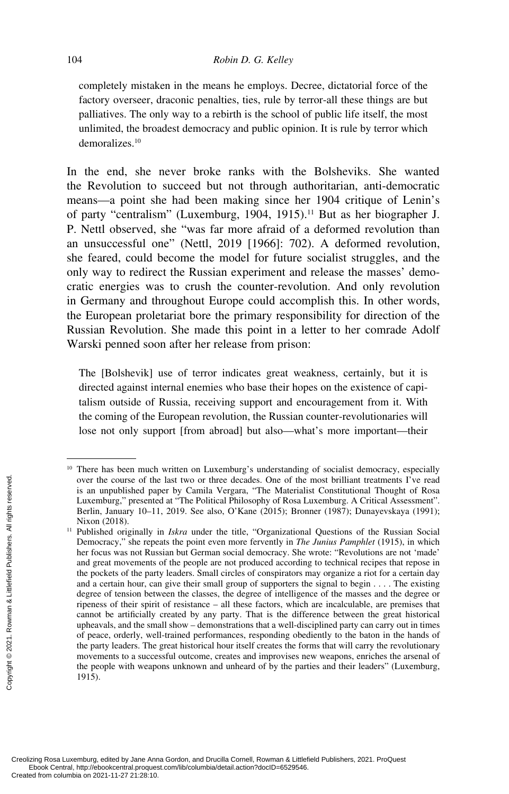completely mistaken in the means he employs. Decree, dictatorial force of the factory overseer, draconic penalties, ties, rule by terror-all these things are but palliatives. The only way to a rebirth is the school of public life itself, the most unlimited, the broadest democracy and public opinion. It is rule by terror which demoralizes.10

In the end, she never broke ranks with the Bolsheviks. She wanted the Revolution to succeed but not through authoritarian, anti-democratic means—a point she had been making since her 1904 critique of Lenin's of party "centralism" (Luxemburg, 1904, 1915).<sup>11</sup> But as her biographer J. P. Nettl observed, she "was far more afraid of a deformed revolution than an unsuccessful one" (Nettl, 2019 [1966]: 702). A deformed revolution, she feared, could become the model for future socialist struggles, and the only way to redirect the Russian experiment and release the masses' democratic energies was to crush the counter-revolution. And only revolution in Germany and throughout Europe could accomplish this. In other words, the European proletariat bore the primary responsibility for direction of the Russian Revolution. She made this point in a letter to her comrade Adolf Warski penned soon after her release from prison:

The [Bolshevik] use of terror indicates great weakness, certainly, but it is directed against internal enemies who base their hopes on the existence of capitalism outside of Russia, receiving support and encouragement from it. With the coming of the European revolution, the Russian counter-revolutionaries will lose not only support [from abroad] but also—what's more important—their

<sup>&</sup>lt;sup>10</sup> There has been much written on Luxemburg's understanding of socialist democracy, especially over the course of the last two or three decades. One of the most brilliant treatments I've read is an unpublished paper by Camila Vergara, "The Materialist Constitutional Thought of Rosa Luxemburg," presented at "The Political Philosophy of Rosa Luxemburg. A Critical Assessment". Berlin, January 10–11, 2019. See also, O'Kane (2015); Bronner (1987); Dunayevskaya (1991); Nixon (2018).

<sup>&</sup>lt;sup>11</sup> Published originally in *Iskra* under the title, "Organizational Questions of the Russian Social Democracy," she repeats the point even more fervently in *The Junius Pamphlet* (1915), in which her focus was not Russian but German social democracy. She wrote: "Revolutions are not 'made' and great movements of the people are not produced according to technical recipes that repose in the pockets of the party leaders. Small circles of conspirators may organize a riot for a certain day and a certain hour, can give their small group of supporters the signal to begin . . . . The existing degree of tension between the classes, the degree of intelligence of the masses and the degree or ripeness of their spirit of resistance – all these factors, which are incalculable, are premises that cannot be artificially created by any party. That is the difference between the great historical upheavals, and the small show – demonstrations that a well-disciplined party can carry out in times of peace, orderly, well-trained performances, responding obediently to the baton in the hands of the party leaders. The great historical hour itself creates the forms that will carry the revolutionary movements to a successful outcome, creates and improvises new weapons, enriches the arsenal of the people with weapons unknown and unheard of by the parties and their leaders" (Luxemburg, 1915). From columbia on 2018, the columbia on 2021-11-27 21:88:10<br>Created from columbia originally in Democracy," she repeated for the process was not Rus and great movements the pockets of the part and a certain hour, can degre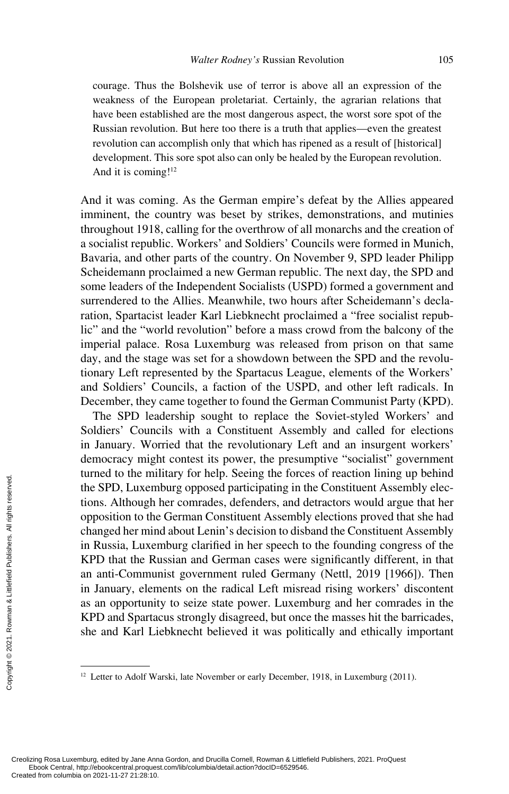courage. Thus the Bolshevik use of terror is above all an expression of the weakness of the European proletariat. Certainly, the agrarian relations that have been established are the most dangerous aspect, the worst sore spot of the Russian revolution. But here too there is a truth that applies—even the greatest revolution can accomplish only that which has ripened as a result of [historical] development. This sore spot also can only be healed by the European revolution. And it is coming!<sup>12</sup>

And it was coming. As the German empire's defeat by the Allies appeared imminent, the country was beset by strikes, demonstrations, and mutinies throughout 1918, calling for the overthrow of all monarchs and the creation of a socialist republic. Workers' and Soldiers' Councils were formed in Munich, Bavaria, and other parts of the country. On November 9, SPD leader Philipp Scheidemann proclaimed a new German republic. The next day, the SPD and some leaders of the Independent Socialists (USPD) formed a government and surrendered to the Allies. Meanwhile, two hours after Scheidemann's declaration, Spartacist leader Karl Liebknecht proclaimed a "free socialist republic" and the "world revolution" before a mass crowd from the balcony of the imperial palace. Rosa Luxemburg was released from prison on that same day, and the stage was set for a showdown between the SPD and the revolutionary Left represented by the Spartacus League, elements of the Workers' and Soldiers' Councils, a faction of the USPD, and other left radicals. In December, they came together to found the German Communist Party (KPD).

The SPD leadership sought to replace the Soviet-styled Workers' and Soldiers' Councils with a Constituent Assembly and called for elections in January. Worried that the revolutionary Left and an insurgent workers' democracy might contest its power, the presumptive "socialist" government turned to the military for help. Seeing the forces of reaction lining up behind the SPD, Luxemburg opposed participating in the Constituent Assembly elections. Although her comrades, defenders, and detractors would argue that her opposition to the German Constituent Assembly elections proved that she had changed her mind about Lenin's decision to disband the Constituent Assembly in Russia, Luxemburg clarified in her speech to the founding congress of the KPD that the Russian and German cases were significantly different, in that an anti-Communist government ruled Germany (Nettl, 2019 [1966]). Then in January, elements on the radical Left misread rising workers' discontent as an opportunity to seize state power. Luxemburg and her comrades in the KPD and Spartacus strongly disagreed, but once the masses hit the barricades, she and Karl Liebknecht believed it was politically and ethically important Example the SPD, Luxem<br>
the SPD, Luxem<br>
tions. Although<br>
opposition to the<br>
changed her min<br>
in Russia, Luxer<br>
KPD that the Ru<br>
an anti-Commun<br>
in January, elen<br>
as an opportunit<br>
KPD and Sparta<br>
she and Karl Little<br>
she

<sup>&</sup>lt;sup>12</sup> Letter to Adolf Warski, late November or early December, 1918, in Luxemburg (2011).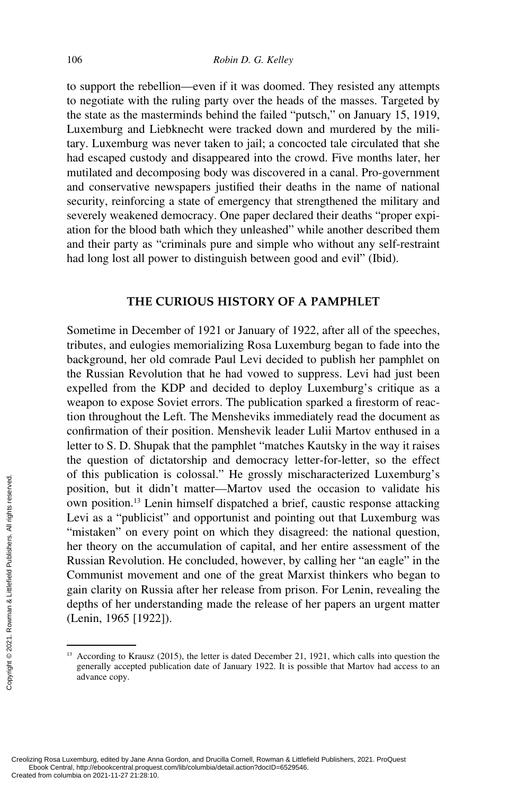to support the rebellion—even if it was doomed. They resisted any attempts to negotiate with the ruling party over the heads of the masses. Targeted by the state as the masterminds behind the failed "putsch," on January 15, 1919, Luxemburg and Liebknecht were tracked down and murdered by the military. Luxemburg was never taken to jail; a concocted tale circulated that she had escaped custody and disappeared into the crowd. Five months later, her mutilated and decomposing body was discovered in a canal. Pro-government and conservative newspapers justified their deaths in the name of national security, reinforcing a state of emergency that strengthened the military and severely weakened democracy. One paper declared their deaths "proper expiation for the blood bath which they unleashed" while another described them and their party as "criminals pure and simple who without any self-restraint had long lost all power to distinguish between good and evil" (Ibid).

## **THE CURIOUS HISTORY OF A PAMPHLET**

Sometime in December of 1921 or January of 1922, after all of the speeches, tributes, and eulogies memorializing Rosa Luxemburg began to fade into the background, her old comrade Paul Levi decided to publish her pamphlet on the Russian Revolution that he had vowed to suppress. Levi had just been expelled from the KDP and decided to deploy Luxemburg's critique as a weapon to expose Soviet errors. The publication sparked a firestorm of reaction throughout the Left. The Mensheviks immediately read the document as confirmation of their position. Menshevik leader Lulii Martov enthused in a letter to S. D. Shupak that the pamphlet "matches Kautsky in the way it raises the question of dictatorship and democracy letter-for-letter, so the effect of this publication is colossal." He grossly mischaracterized Luxemburg's position, but it didn't matter—Martov used the occasion to validate his own position.13 Lenin himself dispatched a brief, caustic response attacking Levi as a "publicist" and opportunist and pointing out that Luxemburg was "mistaken" on every point on which they disagreed: the national question, her theory on the accumulation of capital, and her entire assessment of the Russian Revolution. He concluded, however, by calling her "an eagle" in the Communist movement and one of the great Marxist thinkers who began to gain clarity on Russia after her release from prison. For Lenin, revealing the depths of her understanding made the release of her papers an urgent matter (Lenin, 1965 [1922]). From columbia on 2021-11-27 21:28:10.<br>Created from columbia on 2021-11-27 21:28:10.<br>Created from columbia on 2021-11-27 21:28:10.<br>Created from columbia on 2021-11-27 21:28:10.<br>Created from columbia on 2021-11-27 21:28:10.

According to Krausz (2015), the letter is dated December 21, 1921, which calls into question the generally accepted publication date of January 1922. It is possible that Martov had access to an advance copy.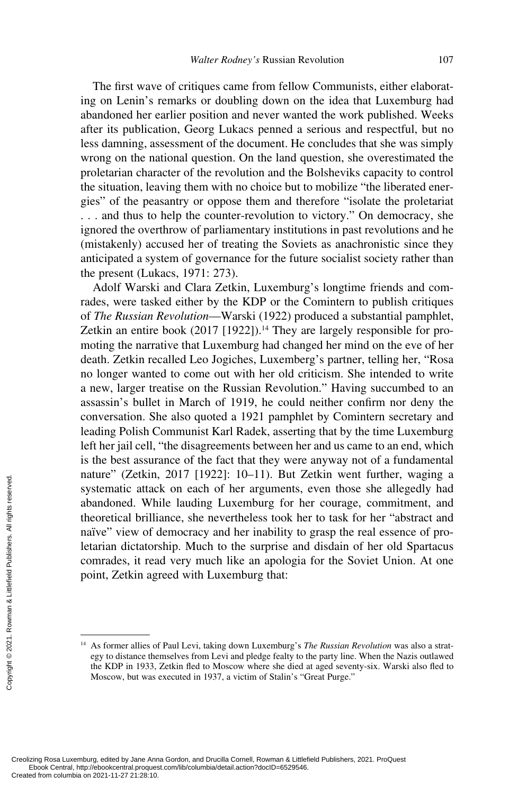The first wave of critiques came from fellow Communists, either elaborating on Lenin's remarks or doubling down on the idea that Luxemburg had abandoned her earlier position and never wanted the work published. Weeks after its publication, Georg Lukacs penned a serious and respectful, but no less damning, assessment of the document. He concludes that she was simply wrong on the national question. On the land question, she overestimated the proletarian character of the revolution and the Bolsheviks capacity to control the situation, leaving them with no choice but to mobilize "the liberated energies" of the peasantry or oppose them and therefore "isolate the proletariat . . . and thus to help the counter-revolution to victory." On democracy, she ignored the overthrow of parliamentary institutions in past revolutions and he (mistakenly) accused her of treating the Soviets as anachronistic since they anticipated a system of governance for the future socialist society rather than the present (Lukacs, 1971: 273).

Adolf Warski and Clara Zetkin, Luxemburg's longtime friends and comrades, were tasked either by the KDP or the Comintern to publish critiques of *The Russian Revolution*—Warski (1922) produced a substantial pamphlet, Zetkin an entire book (2017 [1922]).<sup>14</sup> They are largely responsible for promoting the narrative that Luxemburg had changed her mind on the eve of her death. Zetkin recalled Leo Jogiches, Luxemberg's partner, telling her, "Rosa no longer wanted to come out with her old criticism. She intended to write a new, larger treatise on the Russian Revolution." Having succumbed to an assassin's bullet in March of 1919, he could neither confirm nor deny the conversation. She also quoted a 1921 pamphlet by Comintern secretary and leading Polish Communist Karl Radek, asserting that by the time Luxemburg left her jail cell, "the disagreements between her and us came to an end, which is the best assurance of the fact that they were anyway not of a fundamental nature" (Zetkin, 2017 [1922]: 10–11). But Zetkin went further, waging a systematic attack on each of her arguments, even those she allegedly had abandoned. While lauding Luxemburg for her courage, commitment, and theoretical brilliance, she nevertheless took her to task for her "abstract and naïve" view of democracy and her inability to grasp the real essence of proletarian dictatorship. Much to the surprise and disdain of her old Spartacus comrades, it read very much like an apologia for the Soviet Union. At one point, Zetkin agreed with Luxemburg that: Exercise the Created from columbia on 2021-11-27 21:28:10.<br>Created from columbia on 2021-11-27 21:28:10.<br>Created from columbia on 2021-11-27 21:28:10.<br>Created from columbia on 2021-11-27 21:28:10.

<sup>14</sup> As former allies of Paul Levi, taking down Luxemburg's *The Russian Revolution* was also a strategy to distance themselves from Levi and pledge fealty to the party line. When the Nazis outlawed the KDP in 1933, Zetkin fled to Moscow where she died at aged seventy-six. Warski also fled to Moscow, but was executed in 1937, a victim of Stalin's "Great Purge."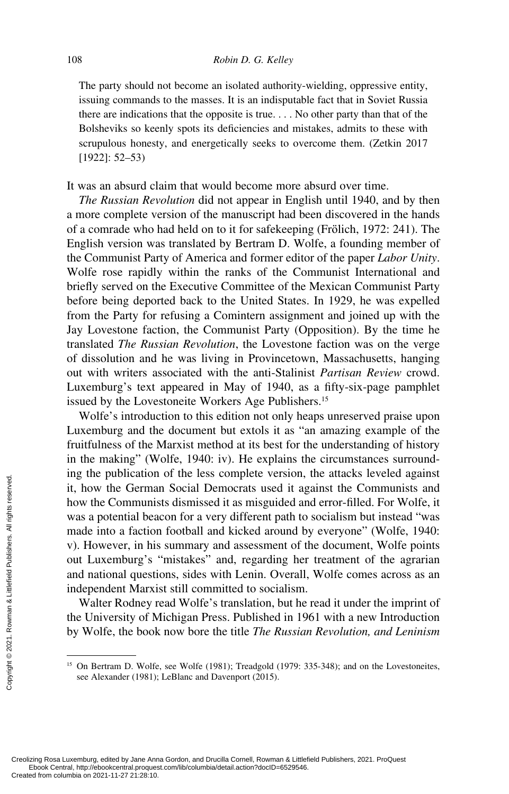The party should not become an isolated authority-wielding, oppressive entity, issuing commands to the masses. It is an indisputable fact that in Soviet Russia there are indications that the opposite is true. . . . No other party than that of the Bolsheviks so keenly spots its deficiencies and mistakes, admits to these with scrupulous honesty, and energetically seeks to overcome them. (Zetkin 2017 [1922]: 52–53)

It was an absurd claim that would become more absurd over time.

*The Russian Revolution* did not appear in English until 1940, and by then a more complete version of the manuscript had been discovered in the hands of a comrade who had held on to it for safekeeping (Frölich, 1972: 241). The English version was translated by Bertram D. Wolfe, a founding member of the Communist Party of America and former editor of the paper *Labor Unity*. Wolfe rose rapidly within the ranks of the Communist International and briefly served on the Executive Committee of the Mexican Communist Party before being deported back to the United States. In 1929, he was expelled from the Party for refusing a Comintern assignment and joined up with the Jay Lovestone faction, the Communist Party (Opposition). By the time he translated *The Russian Revolution*, the Lovestone faction was on the verge of dissolution and he was living in Provincetown, Massachusetts, hanging out with writers associated with the anti-Stalinist *Partisan Review* crowd. Luxemburg's text appeared in May of 1940, as a fifty-six-page pamphlet issued by the Lovestoneite Workers Age Publishers.<sup>15</sup>

Wolfe's introduction to this edition not only heaps unreserved praise upon Luxemburg and the document but extols it as "an amazing example of the fruitfulness of the Marxist method at its best for the understanding of history in the making" (Wolfe, 1940: iv). He explains the circumstances surrounding the publication of the less complete version, the attacks leveled against it, how the German Social Democrats used it against the Communists and how the Communists dismissed it as misguided and error-filled. For Wolfe, it was a potential beacon for a very different path to socialism but instead "was made into a faction football and kicked around by everyone" (Wolfe, 1940: v). However, in his summary and assessment of the document, Wolfe points out Luxemburg's "mistakes" and, regarding her treatment of the agrarian and national questions, sides with Lenin. Overall, Wolfe comes across as an independent Marxist still committed to socialism. Example the Communis<br>
it, how the Germa<br>
how the Communis<br>
was a potential bea<br>
made into a faction<br>
v). However, in his<br>
out Luxemburg's<br>
and national questi<br>
independent Marxi<br>
Walter Rodney r<br>
the University of M<br>
by W

Walter Rodney read Wolfe's translation, but he read it under the imprint of the University of Michigan Press. Published in 1961 with a new Introduction by Wolfe, the book now bore the title *The Russian Revolution, and Leninism* 

<sup>&</sup>lt;sup>15</sup> On Bertram D. Wolfe, see Wolfe (1981); Treadgold (1979: 335-348); and on the Lovestoneites, see Alexander (1981); LeBlanc and Davenport (2015).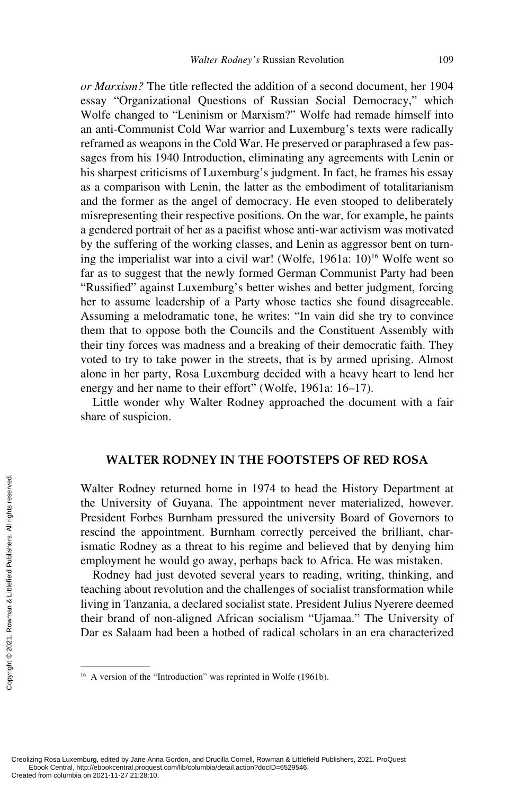*or Marxism?* The title reflected the addition of a second document, her 1904 essay "Organizational Questions of Russian Social Democracy," which Wolfe changed to "Leninism or Marxism?" Wolfe had remade himself into an anti-Communist Cold War warrior and Luxemburg's texts were radically reframed as weapons in the Cold War. He preserved or paraphrased a few passages from his 1940 Introduction, eliminating any agreements with Lenin or his sharpest criticisms of Luxemburg's judgment. In fact, he frames his essay as a comparison with Lenin, the latter as the embodiment of totalitarianism and the former as the angel of democracy. He even stooped to deliberately misrepresenting their respective positions. On the war, for example, he paints a gendered portrait of her as a pacifist whose anti-war activism was motivated by the suffering of the working classes, and Lenin as aggressor bent on turning the imperialist war into a civil war! (Wolfe,  $1961a: 10$ <sup>16</sup> Wolfe went so far as to suggest that the newly formed German Communist Party had been "Russified" against Luxemburg's better wishes and better judgment, forcing her to assume leadership of a Party whose tactics she found disagreeable. Assuming a melodramatic tone, he writes: "In vain did she try to convince them that to oppose both the Councils and the Constituent Assembly with their tiny forces was madness and a breaking of their democratic faith. They voted to try to take power in the streets, that is by armed uprising. Almost alone in her party, Rosa Luxemburg decided with a heavy heart to lend her energy and her name to their effort" (Wolfe, 1961a: 16–17).

Little wonder why Walter Rodney approached the document with a fair share of suspicion.

#### **WALTER RODNEY IN THE FOOTSTEPS OF RED ROSA**

Walter Rodney returned home in 1974 to head the History Department at the University of Guyana. The appointment never materialized, however. President Forbes Burnham pressured the university Board of Governors to rescind the appointment. Burnham correctly perceived the brilliant, charismatic Rodney as a threat to his regime and believed that by denying him employment he would go away, perhaps back to Africa. He was mistaken. Example the University<br>  $\frac{1}{2}$  (President Forbe<br>
rescind the app<br>
ismatic Rodney<br>
employment he<br>
Rodney had j<br>
teaching about re<br>
living in Tanzan<br>
their brand of n<br>
Dar es Salaam P<br>  $\frac{1}{2}$ <br>  $\frac{1}{2}$ <br>  $\frac{1}{2}$ <br>  $\$ 

Rodney had just devoted several years to reading, writing, thinking, and teaching about revolution and the challenges of socialist transformation while living in Tanzania, a declared socialist state. President Julius Nyerere deemed their brand of non-aligned African socialism "Ujamaa." The University of Dar es Salaam had been a hotbed of radical scholars in an era characterized

<sup>&</sup>lt;sup>16</sup> A version of the "Introduction" was reprinted in Wolfe (1961b).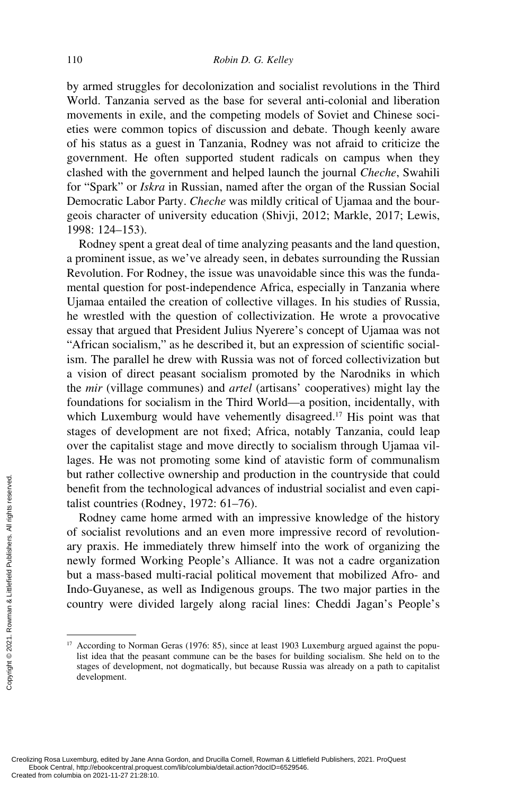by armed struggles for decolonization and socialist revolutions in the Third World. Tanzania served as the base for several anti-colonial and liberation movements in exile, and the competing models of Soviet and Chinese societies were common topics of discussion and debate. Though keenly aware of his status as a guest in Tanzania, Rodney was not afraid to criticize the government. He often supported student radicals on campus when they clashed with the government and helped launch the journal *Cheche*, Swahili for "Spark" or *Iskra* in Russian, named after the organ of the Russian Social Democratic Labor Party. *Cheche* was mildly critical of Ujamaa and the bourgeois character of university education (Shivji, 2012; Markle, 2017; Lewis, 1998: 124–153).

Rodney spent a great deal of time analyzing peasants and the land question, a prominent issue, as we've already seen, in debates surrounding the Russian Revolution. For Rodney, the issue was unavoidable since this was the fundamental question for post-independence Africa, especially in Tanzania where Ujamaa entailed the creation of collective villages. In his studies of Russia, he wrestled with the question of collectivization. He wrote a provocative essay that argued that President Julius Nyerere's concept of Ujamaa was not "African socialism," as he described it, but an expression of scientific socialism. The parallel he drew with Russia was not of forced collectivization but a vision of direct peasant socialism promoted by the Narodniks in which the *mir* (village communes) and *artel* (artisans' cooperatives) might lay the foundations for socialism in the Third World—a position, incidentally, with which Luxemburg would have vehemently disagreed.<sup>17</sup> His point was that stages of development are not fixed; Africa, notably Tanzania, could leap over the capitalist stage and move directly to socialism through Ujamaa villages. He was not promoting some kind of atavistic form of communalism but rather collective ownership and production in the countryside that could benefit from the technological advances of industrial socialist and even capitalist countries (Rodney, 1972: 61–76).

Rodney came home armed with an impressive knowledge of the history of socialist revolutions and an even more impressive record of revolutionary praxis. He immediately threw himself into the work of organizing the newly formed Working People's Alliance. It was not a cadre organization but a mass-based multi-racial political movement that mobilized Afro- and Indo-Guyanese, as well as Indigenous groups. The two major parties in the country were divided largely along racial lines: Cheddi Jagan's People's From the text takes are the columbia on 2021-11-27 21:28:10.<br>
Created from columbia on 2021-11-27 21:28:10.<br>
Created from columbia on 2021-11-27 21:28:10.

<sup>&</sup>lt;sup>17</sup> According to Norman Geras (1976: 85), since at least 1903 Luxemburg argued against the populist idea that the peasant commune can be the bases for building socialism. She held on to the stages of development, not dogmatically, but because Russia was already on a path to capitalist development.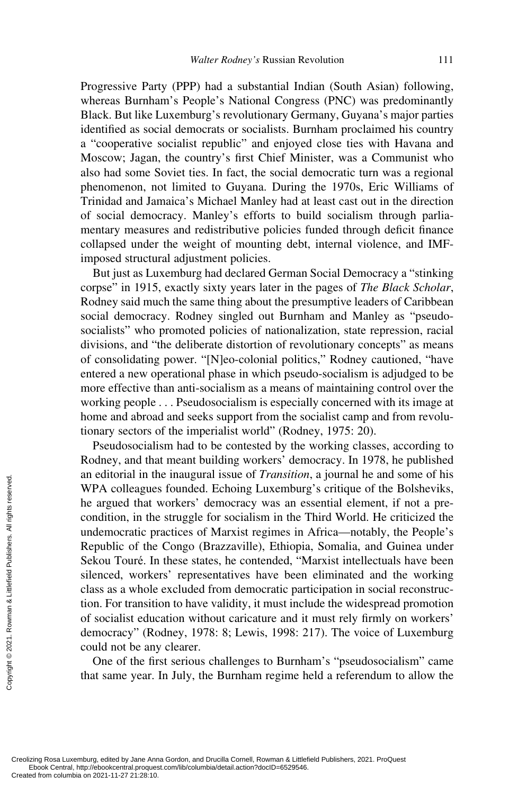Progressive Party (PPP) had a substantial Indian (South Asian) following, whereas Burnham's People's National Congress (PNC) was predominantly Black. But like Luxemburg's revolutionary Germany, Guyana's major parties identified as social democrats or socialists. Burnham proclaimed his country a "cooperative socialist republic" and enjoyed close ties with Havana and Moscow; Jagan, the country's first Chief Minister, was a Communist who also had some Soviet ties. In fact, the social democratic turn was a regional phenomenon, not limited to Guyana. During the 1970s, Eric Williams of Trinidad and Jamaica's Michael Manley had at least cast out in the direction of social democracy. Manley's efforts to build socialism through parliamentary measures and redistributive policies funded through deficit finance collapsed under the weight of mounting debt, internal violence, and IMFimposed structural adjustment policies.

But just as Luxemburg had declared German Social Democracy a "stinking corpse" in 1915, exactly sixty years later in the pages of *The Black Scholar*, Rodney said much the same thing about the presumptive leaders of Caribbean social democracy. Rodney singled out Burnham and Manley as "pseudosocialists" who promoted policies of nationalization, state repression, racial divisions, and "the deliberate distortion of revolutionary concepts" as means of consolidating power. "[N]eo-colonial politics," Rodney cautioned, "have entered a new operational phase in which pseudo-socialism is adjudged to be more effective than anti-socialism as a means of maintaining control over the working people . . . Pseudosocialism is especially concerned with its image at home and abroad and seeks support from the socialist camp and from revolutionary sectors of the imperialist world" (Rodney, 1975: 20).

Pseudosocialism had to be contested by the working classes, according to Rodney, and that meant building workers' democracy. In 1978, he published an editorial in the inaugural issue of *Transition*, a journal he and some of his WPA colleagues founded. Echoing Luxemburg's critique of the Bolsheviks, he argued that workers' democracy was an essential element, if not a precondition, in the struggle for socialism in the Third World. He criticized the undemocratic practices of Marxist regimes in Africa—notably, the People's Republic of the Congo (Brazzaville), Ethiopia, Somalia, and Guinea under Sekou Touré. In these states, he contended, "Marxist intellectuals have been silenced, workers' representatives have been eliminated and the working class as a whole excluded from democratic participation in social reconstruction. For transition to have validity, it must include the widespread promotion of socialist education without caricature and it must rely firmly on workers' democracy" (Rodney, 1978: 8; Lewis, 1998: 217). The voice of Luxemburg could not be any clearer. Example that the set of the set of the set of the set of the set of the set of the set of the set of the set of the set of the set of the set of the set of the first could not be any one of the first that same year. The c

One of the first serious challenges to Burnham's "pseudosocialism" came that same year. In July, the Burnham regime held a referendum to allow the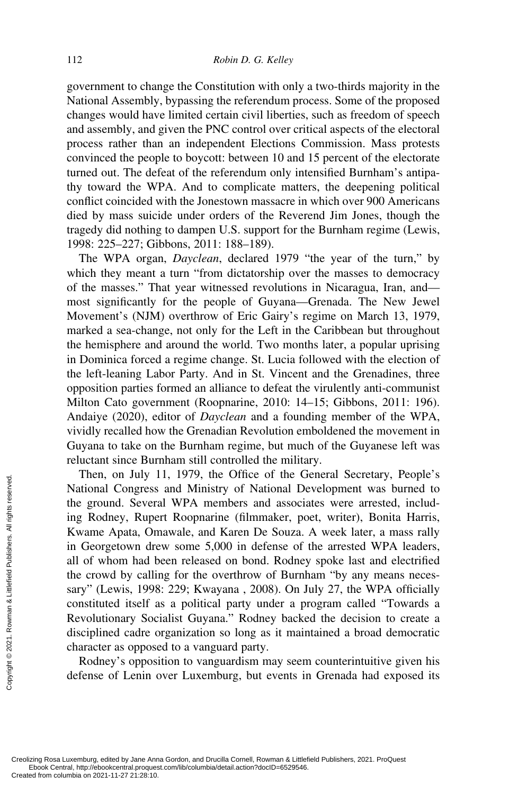government to change the Constitution with only a two-thirds majority in the National Assembly, bypassing the referendum process. Some of the proposed changes would have limited certain civil liberties, such as freedom of speech and assembly, and given the PNC control over critical aspects of the electoral process rather than an independent Elections Commission. Mass protests convinced the people to boycott: between 10 and 15 percent of the electorate turned out. The defeat of the referendum only intensified Burnham's antipathy toward the WPA. And to complicate matters, the deepening political conflict coincided with the Jonestown massacre in which over 900 Americans died by mass suicide under orders of the Reverend Jim Jones, though the tragedy did nothing to dampen U.S. support for the Burnham regime (Lewis, 1998: 225–227; Gibbons, 2011: 188–189).

The WPA organ, *Dayclean*, declared 1979 "the year of the turn," by which they meant a turn "from dictatorship over the masses to democracy of the masses." That year witnessed revolutions in Nicaragua, Iran, and most significantly for the people of Guyana—Grenada. The New Jewel Movement's (NJM) overthrow of Eric Gairy's regime on March 13, 1979, marked a sea-change, not only for the Left in the Caribbean but throughout the hemisphere and around the world. Two months later, a popular uprising in Dominica forced a regime change. St. Lucia followed with the election of the left-leaning Labor Party. And in St. Vincent and the Grenadines, three opposition parties formed an alliance to defeat the virulently anti-communist Milton Cato government (Roopnarine, 2010: 14–15; Gibbons, 2011: 196). Andaiye (2020), editor of *Dayclean* and a founding member of the WPA, vividly recalled how the Grenadian Revolution emboldened the movement in Guyana to take on the Burnham regime, but much of the Guyanese left was reluctant since Burnham still controlled the military.

Then, on July 11, 1979, the Office of the General Secretary, People's National Congress and Ministry of National Development was burned to the ground. Several WPA members and associates were arrested, including Rodney, Rupert Roopnarine (filmmaker, poet, writer), Bonita Harris, Kwame Apata, Omawale, and Karen De Souza. A week later, a mass rally in Georgetown drew some 5,000 in defense of the arrested WPA leaders, all of whom had been released on bond. Rodney spoke last and electrified the crowd by calling for the overthrow of Burnham "by any means necessary" (Lewis, 1998: 229; Kwayana , 2008). On July 27, the WPA officially constituted itself as a political party under a program called "Towards a Revolutionary Socialist Guyana." Rodney backed the decision to create a disciplined cadre organization so long as it maintained a broad democratic character as opposed to a vanguard party. Exerces the ground. Several included congress<br>
the ground. Several ing Rodney, Rupe<br>
Kwame Apata, On<br>
in Georgetown dreal of whom had b<br>
the crowd by calli<br>
sary" (Lewis, 1998<br>
constituted itself a<br>
Revolutionary Soc<br>
disc

Rodney's opposition to vanguardism may seem counterintuitive given his defense of Lenin over Luxemburg, but events in Grenada had exposed its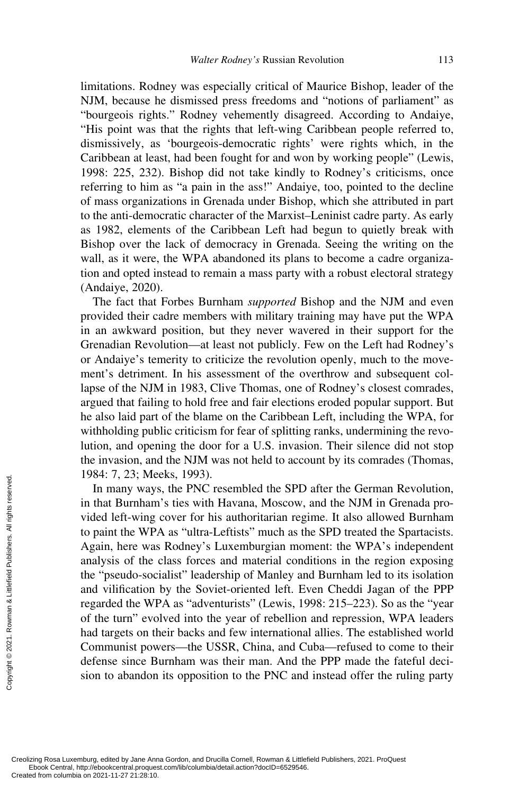limitations. Rodney was especially critical of Maurice Bishop, leader of the NJM, because he dismissed press freedoms and "notions of parliament" as "bourgeois rights." Rodney vehemently disagreed. According to Andaiye, "His point was that the rights that left-wing Caribbean people referred to, dismissively, as 'bourgeois-democratic rights' were rights which, in the Caribbean at least, had been fought for and won by working people" (Lewis, 1998: 225, 232). Bishop did not take kindly to Rodney's criticisms, once referring to him as "a pain in the ass!" Andaiye, too, pointed to the decline of mass organizations in Grenada under Bishop, which she attributed in part to the anti-democratic character of the Marxist–Leninist cadre party. As early as 1982, elements of the Caribbean Left had begun to quietly break with Bishop over the lack of democracy in Grenada. Seeing the writing on the wall, as it were, the WPA abandoned its plans to become a cadre organization and opted instead to remain a mass party with a robust electoral strategy (Andaiye, 2020).

The fact that Forbes Burnham *supported* Bishop and the NJM and even provided their cadre members with military training may have put the WPA in an awkward position, but they never wavered in their support for the Grenadian Revolution—at least not publicly. Few on the Left had Rodney's or Andaiye's temerity to criticize the revolution openly, much to the movement's detriment. In his assessment of the overthrow and subsequent collapse of the NJM in 1983, Clive Thomas, one of Rodney's closest comrades, argued that failing to hold free and fair elections eroded popular support. But he also laid part of the blame on the Caribbean Left, including the WPA, for withholding public criticism for fear of splitting ranks, undermining the revolution, and opening the door for a U.S. invasion. Their silence did not stop the invasion, and the NJM was not held to account by its comrades (Thomas, 1984: 7, 23; Meeks, 1993).

In many ways, the PNC resembled the SPD after the German Revolution, in that Burnham's ties with Havana, Moscow, and the NJM in Grenada provided left-wing cover for his authoritarian regime. It also allowed Burnham to paint the WPA as "ultra-Leftists" much as the SPD treated the Spartacists. Again, here was Rodney's Luxemburgian moment: the WPA's independent analysis of the class forces and material conditions in the region exposing the "pseudo-socialist" leadership of Manley and Burnham led to its isolation and vilification by the Soviet-oriented left. Even Cheddi Jagan of the PPP regarded the WPA as "adventurists" (Lewis, 1998: 215–223). So as the "year of the turn" evolved into the year of rebellion and repression, WPA leaders had targets on their backs and few international allies. The established world Communist powers—the USSR, China, and Cuba—refused to come to their defense since Burnham was their man. And the PPP made the fateful decision to abandon its opposition to the PNC and instead offer the ruling party Example the through the WP.<br>
See the the WP.<br>
Again, here was analysis of the the "pseudo-soc and vilification<br>
regarded the WP of the turn" evo<br>
had targets on the Communist power defense since B<br>
sign to abandon<br>
See th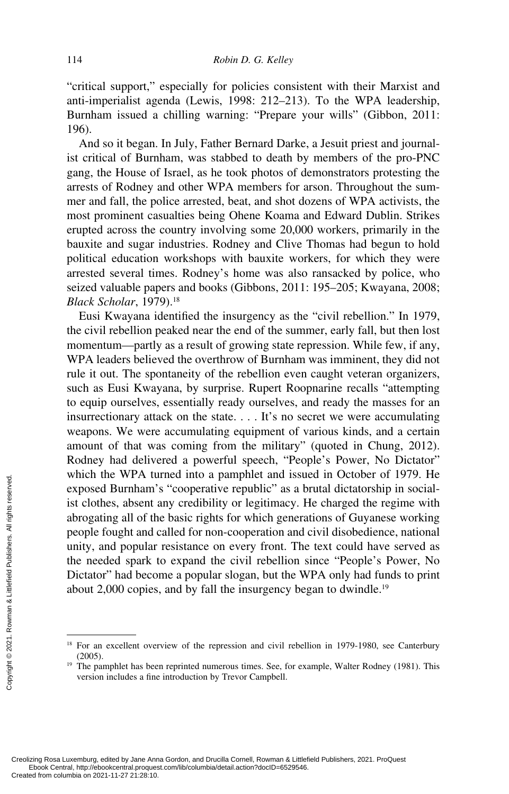"critical support," especially for policies consistent with their Marxist and anti-imperialist agenda (Lewis, 1998: 212–213). To the WPA leadership, Burnham issued a chilling warning: "Prepare your wills" (Gibbon, 2011: 196).

And so it began. In July, Father Bernard Darke, a Jesuit priest and journalist critical of Burnham, was stabbed to death by members of the pro-PNC gang, the House of Israel, as he took photos of demonstrators protesting the arrests of Rodney and other WPA members for arson. Throughout the summer and fall, the police arrested, beat, and shot dozens of WPA activists, the most prominent casualties being Ohene Koama and Edward Dublin. Strikes erupted across the country involving some 20,000 workers, primarily in the bauxite and sugar industries. Rodney and Clive Thomas had begun to hold political education workshops with bauxite workers, for which they were arrested several times. Rodney's home was also ransacked by police, who seized valuable papers and books (Gibbons, 2011: 195–205; Kwayana, 2008; *Black Scholar*, 1979).18

Eusi Kwayana identified the insurgency as the "civil rebellion." In 1979, the civil rebellion peaked near the end of the summer, early fall, but then lost momentum—partly as a result of growing state repression. While few, if any, WPA leaders believed the overthrow of Burnham was imminent, they did not rule it out. The spontaneity of the rebellion even caught veteran organizers, such as Eusi Kwayana, by surprise. Rupert Roopnarine recalls "attempting to equip ourselves, essentially ready ourselves, and ready the masses for an insurrectionary attack on the state. . . . It's no secret we were accumulating weapons. We were accumulating equipment of various kinds, and a certain amount of that was coming from the military" (quoted in Chung, 2012). Rodney had delivered a powerful speech, "People's Power, No Dictator" which the WPA turned into a pamphlet and issued in October of 1979. He exposed Burnham's "cooperative republic" as a brutal dictatorship in socialist clothes, absent any credibility or legitimacy. He charged the regime with abrogating all of the basic rights for which generations of Guyanese working people fought and called for non-cooperation and civil disobedience, national unity, and popular resistance on every front. The text could have served as the needed spark to expand the civil rebellion since "People's Power, No Dictator" had become a popular slogan, but the WPA only had funds to print about 2,000 copies, and by fall the insurgency began to dwindle.<sup>19</sup> Example 1 and 2021-11-27 21:28:10.<br>
Second Burnham' ist clothes, absent a<br>
derogating all of the people fought and computer<br>
the needed spark to Dictator" had become about 2,000 copies<br>
served.<br>
Second Publishers. All rig

<sup>&</sup>lt;sup>18</sup> For an excellent overview of the repression and civil rebellion in 1979-1980, see Canterbury (2005). <sup>19</sup> The pamphlet has been reprinted numerous times. See, for example, Walter Rodney (1981). This

version includes a fine introduction by Trevor Campbell.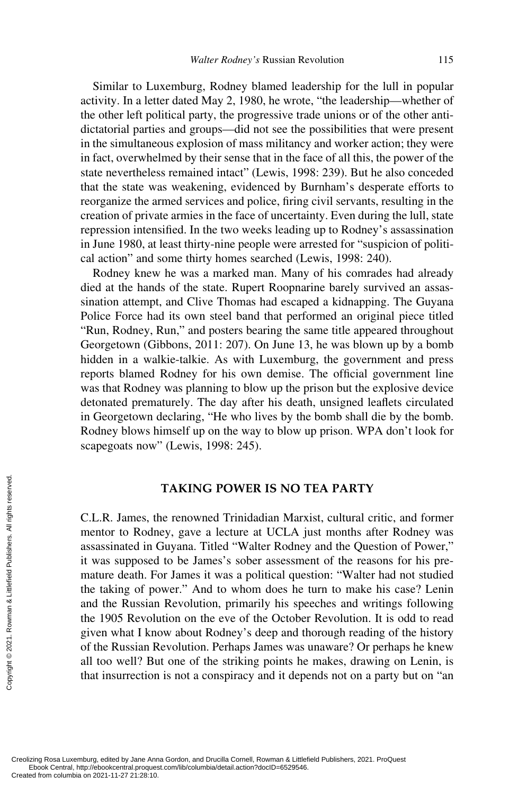Similar to Luxemburg, Rodney blamed leadership for the lull in popular activity. In a letter dated May 2, 1980, he wrote, "the leadership—whether of the other left political party, the progressive trade unions or of the other antidictatorial parties and groups—did not see the possibilities that were present in the simultaneous explosion of mass militancy and worker action; they were in fact, overwhelmed by their sense that in the face of all this, the power of the state nevertheless remained intact" (Lewis, 1998: 239). But he also conceded that the state was weakening, evidenced by Burnham's desperate efforts to reorganize the armed services and police, firing civil servants, resulting in the creation of private armies in the face of uncertainty. Even during the lull, state repression intensified. In the two weeks leading up to Rodney's assassination in June 1980, at least thirty-nine people were arrested for "suspicion of political action" and some thirty homes searched (Lewis, 1998: 240).

Rodney knew he was a marked man. Many of his comrades had already died at the hands of the state. Rupert Roopnarine barely survived an assassination attempt, and Clive Thomas had escaped a kidnapping. The Guyana Police Force had its own steel band that performed an original piece titled "Run, Rodney, Run," and posters bearing the same title appeared throughout Georgetown (Gibbons, 2011: 207). On June 13, he was blown up by a bomb hidden in a walkie-talkie. As with Luxemburg, the government and press reports blamed Rodney for his own demise. The official government line was that Rodney was planning to blow up the prison but the explosive device detonated prematurely. The day after his death, unsigned leaflets circulated in Georgetown declaring, "He who lives by the bomb shall die by the bomb. Rodney blows himself up on the way to blow up prison. WPA don't look for scapegoats now" (Lewis, 1998: 245).

#### **TAKING POWER IS NO TEA PARTY**

C.L.R. James, the renowned Trinidadian Marxist, cultural critic, and former mentor to Rodney, gave a lecture at UCLA just months after Rodney was assassinated in Guyana. Titled "Walter Rodney and the Question of Power," it was supposed to be James's sober assessment of the reasons for his premature death. For James it was a political question: "Walter had not studied the taking of power." And to whom does he turn to make his case? Lenin and the Russian Revolution, primarily his speeches and writings following the 1905 Revolution on the eve of the October Revolution. It is odd to read given what I know about Rodney's deep and thorough reading of the history of the Russian Revolution. Perhaps James was unaware? Or perhaps he knew all too well? But one of the striking points he makes, drawing on Lenin, is that insurrection is not a conspiracy and it depends not on a party but on "an Exerces and the Russian and the Russian and the Russian the 1905 Revolume of the Russian the 1905 Revolume of the Russian Rall too well? But that insurrection of the Russian Rall too well? But that insurrection columbia o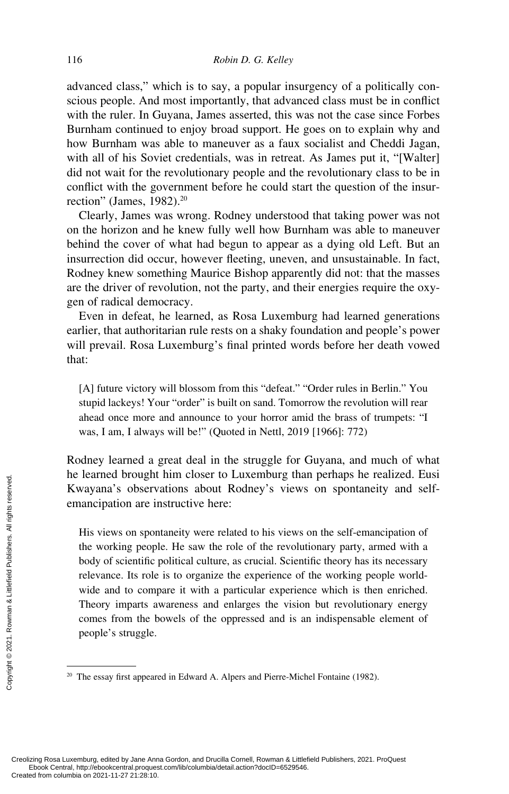advanced class," which is to say, a popular insurgency of a politically conscious people. And most importantly, that advanced class must be in conflict with the ruler. In Guyana, James asserted, this was not the case since Forbes Burnham continued to enjoy broad support. He goes on to explain why and how Burnham was able to maneuver as a faux socialist and Cheddi Jagan, with all of his Soviet credentials, was in retreat. As James put it, "[Walter] did not wait for the revolutionary people and the revolutionary class to be in conflict with the government before he could start the question of the insurrection" (James, 1982).<sup>20</sup>

Clearly, James was wrong. Rodney understood that taking power was not on the horizon and he knew fully well how Burnham was able to maneuver behind the cover of what had begun to appear as a dying old Left. But an insurrection did occur, however fleeting, uneven, and unsustainable. In fact, Rodney knew something Maurice Bishop apparently did not: that the masses are the driver of revolution, not the party, and their energies require the oxygen of radical democracy.

Even in defeat, he learned, as Rosa Luxemburg had learned generations earlier, that authoritarian rule rests on a shaky foundation and people's power will prevail. Rosa Luxemburg's final printed words before her death vowed that:

[A] future victory will blossom from this "defeat." "Order rules in Berlin." You stupid lackeys! Your "order" is built on sand. Tomorrow the revolution will rear ahead once more and announce to your horror amid the brass of trumpets: "I was, I am, I always will be!" (Quoted in Nettl, 2019 [1966]: 772)

Rodney learned a great deal in the struggle for Guyana, and much of what he learned brought him closer to Luxemburg than perhaps he realized. Eusi Kwayana's observations about Rodney's views on spontaneity and selfemancipation are instructive here:

His views on spontaneity were related to his views on the self-emancipation of the working people. He saw the role of the revolutionary party, armed with a body of scientific political culture, as crucial. Scientific theory has its necessary relevance. Its role is to organize the experience of the working people worldwide and to compare it with a particular experience which is then enriched. Theory imparts awareness and enlarges the vision but revolutionary energy comes from the bowels of the oppressed and is an indispensable element of people's struggle. The tearned brought<br>
Extra space of the strength of the strength of the working people<br>
the working people<br>
body of scientific<br>
relevance. Its role<br>
wide and to comp<br>
Theory imparts a<br>
comes from the b<br>
people's struggle.

<sup>&</sup>lt;sup>20</sup> The essay first appeared in Edward A. Alpers and Pierre-Michel Fontaine (1982).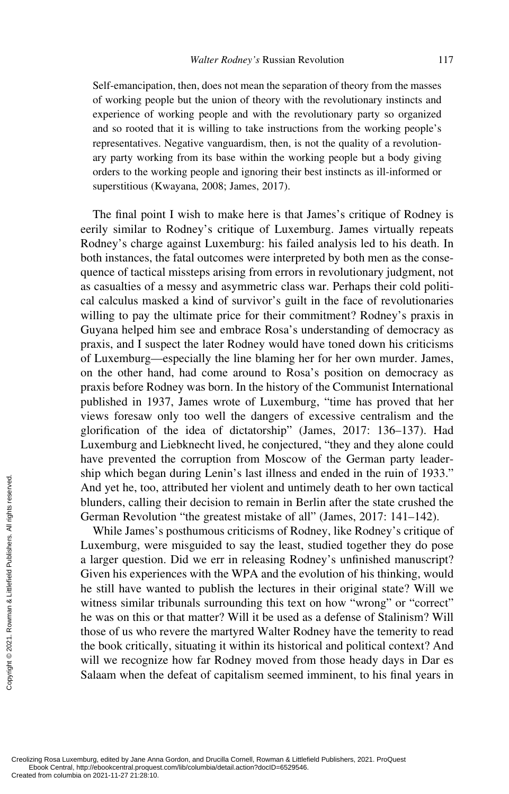Self-emancipation, then, does not mean the separation of theory from the masses of working people but the union of theory with the revolutionary instincts and experience of working people and with the revolutionary party so organized and so rooted that it is willing to take instructions from the working people's representatives. Negative vanguardism, then, is not the quality of a revolutionary party working from its base within the working people but a body giving orders to the working people and ignoring their best instincts as ill-informed or superstitious (Kwayana, 2008; James, 2017).

The final point I wish to make here is that James's critique of Rodney is eerily similar to Rodney's critique of Luxemburg. James virtually repeats Rodney's charge against Luxemburg: his failed analysis led to his death. In both instances, the fatal outcomes were interpreted by both men as the consequence of tactical missteps arising from errors in revolutionary judgment, not as casualties of a messy and asymmetric class war. Perhaps their cold political calculus masked a kind of survivor's guilt in the face of revolutionaries willing to pay the ultimate price for their commitment? Rodney's praxis in Guyana helped him see and embrace Rosa's understanding of democracy as praxis, and I suspect the later Rodney would have toned down his criticisms of Luxemburg—especially the line blaming her for her own murder. James, on the other hand, had come around to Rosa's position on democracy as praxis before Rodney was born. In the history of the Communist International published in 1937, James wrote of Luxemburg, "time has proved that her views foresaw only too well the dangers of excessive centralism and the glorification of the idea of dictatorship" (James, 2017: 136–137). Had Luxemburg and Liebknecht lived, he conjectured, "they and they alone could have prevented the corruption from Moscow of the German party leadership which began during Lenin's last illness and ended in the ruin of 1933." And yet he, too, attributed her violent and untimely death to her own tactical blunders, calling their decision to remain in Berlin after the state crushed the German Revolution "the greatest mistake of all" (James, 2017: 141–142).

While James's posthumous criticisms of Rodney, like Rodney's critique of Luxemburg, were misguided to say the least, studied together they do pose a larger question. Did we err in releasing Rodney's unfinished manuscript? Given his experiences with the WPA and the evolution of his thinking, would he still have wanted to publish the lectures in their original state? Will we witness similar tribunals surrounding this text on how "wrong" or "correct" he was on this or that matter? Will it be used as a defense of Stalinism? Will those of us who revere the martyred Walter Rodney have the temerity to read the book critically, situating it within its historical and political context? And will we recognize how far Rodney moved from those heady days in Dar es Salaam when the defeat of capitalism seemed imminent, to his final years in Exerces the columbia on 2021-11-27 21:28:10.<br>Created from columbia on 2021-11-27 21:28:10.<br>Created from columbia on 2021-11-27 21:28:10.<br>Created from columbia on 2021-11-27 21:28:10.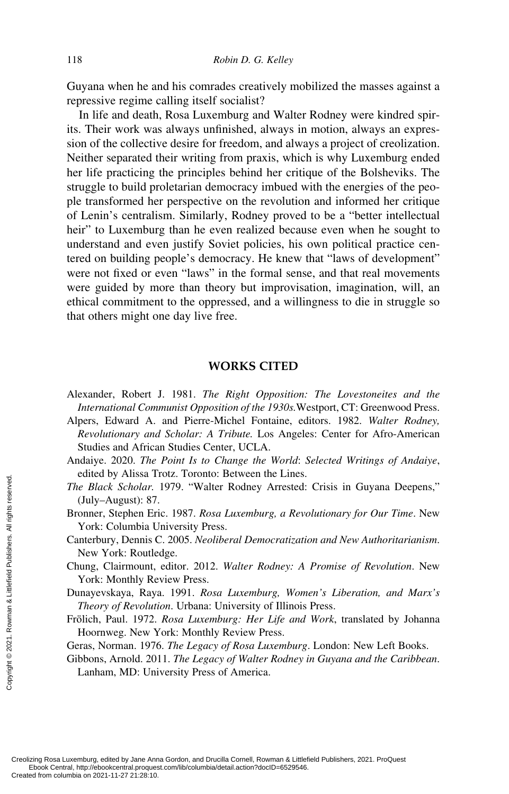Guyana when he and his comrades creatively mobilized the masses against a repressive regime calling itself socialist?

In life and death, Rosa Luxemburg and Walter Rodney were kindred spirits. Their work was always unfinished, always in motion, always an expression of the collective desire for freedom, and always a project of creolization. Neither separated their writing from praxis, which is why Luxemburg ended her life practicing the principles behind her critique of the Bolsheviks. The struggle to build proletarian democracy imbued with the energies of the people transformed her perspective on the revolution and informed her critique of Lenin's centralism. Similarly, Rodney proved to be a "better intellectual heir" to Luxemburg than he even realized because even when he sought to understand and even justify Soviet policies, his own political practice centered on building people's democracy. He knew that "laws of development" were not fixed or even "laws" in the formal sense, and that real movements were guided by more than theory but improvisation, imagination, will, an ethical commitment to the oppressed, and a willingness to die in struggle so that others might one day live free.

#### **WORKS CITED**

- Alpers, Edward A. and Pierre-Michel Fontaine, editors. 1982. *Walter Rodney, Revolutionary and Scholar: A Tribute.* Los Angeles: Center for Afro-American Studies and African Studies Center, UCLA.
- Andaiye. 2020. *The Point Is to Change the World*: *Selected Writings of Andaiye*, edited by Alissa Trotz. Toronto: Between the Lines.
- *The Black Scholar.* 1979. "Walter Rodney Arrested: Crisis in Guyana Deepens," (July–August): 87.
- Bronner, Stephen Eric. 1987. *Rosa Luxemburg, a Revolutionary for Our Time*. New York: Columbia University Press.
- Canterbury, Dennis C. 2005. *Neoliberal Democratization and New Authoritarianism*. New York: Routledge.
- Chung, Clairmount, editor. 2012. *Walter Rodney: A Promise of Revolution*. New York: Monthly Review Press.
- Dunayevskaya, Raya. 1991. *Rosa Luxemburg, Women's Liberation, and Marx's Theory of Revolution*. Urbana: University of Illinois Press.
- Frölich, Paul. 1972. *Rosa Luxemburg: Her Life and Work*, translated by Johanna Hoornweg. New York: Monthly Review Press.
- Geras, Norman. 1976. *The Legacy of Rosa Luxemburg*. London: New Left Books.
- Gibbons, Arnold. 2011. *The Legacy of Walter Rodney in Guyana and the Caribbean*. Lanham, MD: University Press of America.

Alexander, Robert J. 1981. *The Right Opposition: The Lovestoneites and the International Communist Opposition of the 1930s.*Westport, CT: Greenwood Press.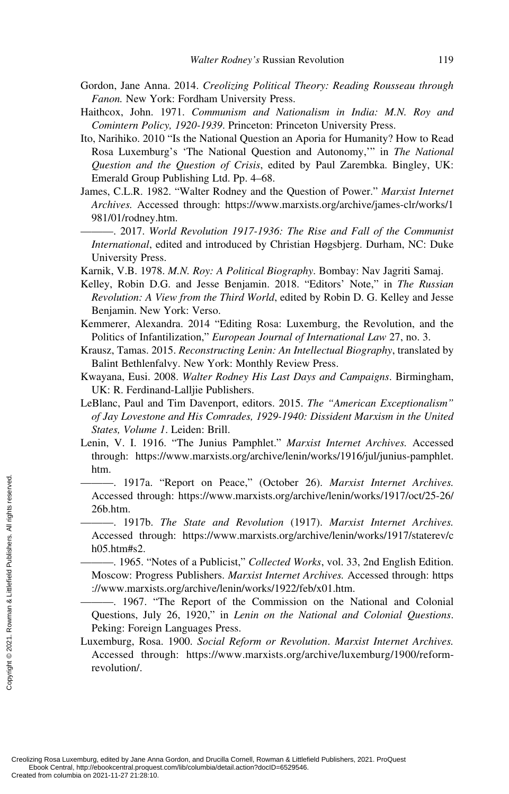- Gordon, Jane Anna. 2014. *Creolizing Political Theory: Reading Rousseau through Fanon.* New York: Fordham University Press.
- Haithcox, John. 1971. *Communism and Nationalism in India: M.N. Roy and Comintern Policy, 1920-1939*. Princeton: Princeton University Press.
- Ito, Narihiko. 2010 "Is the National Question an Aporia for Humanity? How to Read Rosa Luxemburg's 'The National Question and Autonomy,'" in *The National Question and the Question of Crisis*, edited by Paul Zarembka. Bingley, UK: Emerald Group Publishing Ltd. Pp. 4–68.
- James, C.L.R. 1982. "Walter Rodney and the Question of Power." *Marxist Internet Archives.* Accessed through: [https://www.marxists.org/archive/james-clr/works/1](http://https://www.marxists.org/archive/james-clr/works/1981/01/rodney.htm) [981/01/rodney.htm.](http://https://www.marxists.org/archive/james-clr/works/1981/01/rodney.htm)

———. 2017. *World Revolution 1917-1936: The Rise and Fall of the Communist International*, edited and introduced by Christian Høgsbjerg. Durham, NC: Duke University Press.

Karnik, V.B. 1978. *M.N. Roy: A Political Biography*. Bombay: Nav Jagriti Samaj.

- Kelley, Robin D.G. and Jesse Benjamin. 2018. "Editors' Note," in *The Russian Revolution: A View from the Third World*, edited by Robin D. G. Kelley and Jesse Benjamin. New York: Verso.
- Kemmerer, Alexandra. 2014 "Editing Rosa: Luxemburg, the Revolution, and the Politics of Infantilization," *European Journal of International Law* 27, no. 3.
- Krausz, Tamas. 2015. *Reconstructing Lenin: An Intellectual Biography*, translated by Balint Bethlenfalvy. New York: Monthly Review Press.
- Kwayana, Eusi. 2008. *Walter Rodney His Last Days and Campaigns*. Birmingham, UK: R. Ferdinand-Lalljie Publishers.
- LeBlanc, Paul and Tim Davenport, editors. 2015. *The "American Exceptionalism" of Jay Lovestone and His Comrades, 1929-1940: Dissident Marxism in the United States, Volume 1*. Leiden: Brill.
- Lenin, V. I. 1916. "The Junius Pamphlet." *Marxist Internet Archives.* Accessed through: https://www.marxists.org/archive/lenin/works/1916/jul/junius -pamphlet. htm.

———. 1917a. "Report on Peace," (October 26). *Marxist Internet Archives.* Accessed through: https://www.marxists.org/archive/lenin/works/1917/oct/25-26/ 26b.htm.

———. 1917b. *The State and Revolution* (1917). *Marxist Internet Archives.* Accessed through: https://www.marxists.org/archive/lenin/works/1917/staterev/c h05.htm#s2.

———. 1965. "Notes of a Publicist," *Collected Works*, vol. 33, 2nd English Edition. Moscow: Progress Publishers. *Marxist Internet Archives.* Accessed through: https ://www.marxists.org/archive/lenin/works/1922/feb/x01.htm.

———. 1967. "The Report of the Commission on the National and Colonial Questions, July 26, 1920," in *Lenin on the National and Colonial Questions*. Peking: Foreign Languages Press.

Luxemburg, Rosa. 1900. *Social Reform or Revolution*. *Marxist Internet Archives.* Accessed through: https://www.marxists.org/archive/luxemburg/1900/reformrevolution/. Exercessed through<br>
Created from columbia on 2021-11-27 21:28:10<br>
Created from columbia on 2021-11-27 21:28:10.<br>
Created from columbia on 2021-11-27 21:28:10.<br>
Created from columbia on 2021-11-27 21:28:10.<br>
Created from co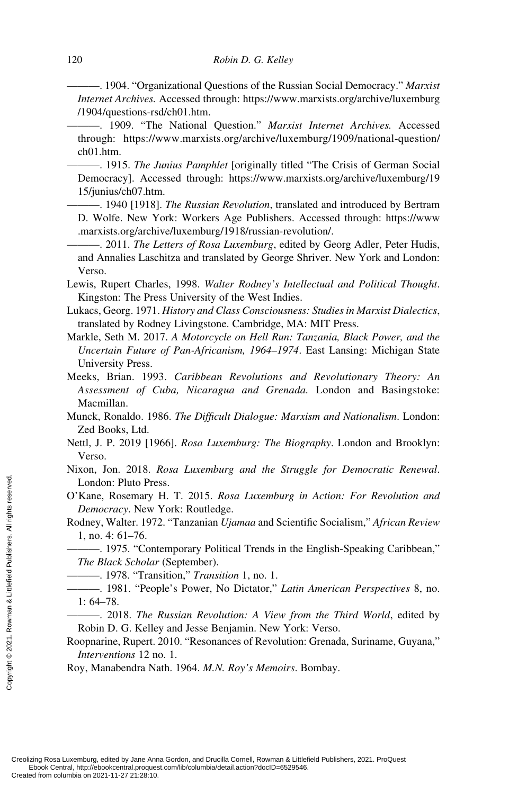———. 1904. "Organizational Questions of the Russian Social Democracy." *Marxist Internet Archives.* Accessed through: https://www.marxists.org/archive/luxemburg /1904/questions-rsd/ch01.htm.

———. 1909. "The National Question." *Marxist Internet Archives.* Accessed through: https://www.marxists.org/archive/luxemburg/1909/national-question/ ch01.htm.

———. 1915. *The Junius Pamphlet* [originally titled "The Crisis of German Social Democracy]. Accessed through: [https://www.marxists.org/archive/luxemburg/19](http://https://www.marxists.org/archive/luxemburg/1915/junius/ch07.htm) [15/junius/ch07.htm.](http://https://www.marxists.org/archive/luxemburg/1915/junius/ch07.htm)

———. 1940 [1918]. *The Russian Revolution*, translated and introduced by Bertram D. Wolfe. New York: Workers Age Publishers. Accessed through: https://www .marxists.org/archive/luxemburg/1918/russian-revolution/.

———. 2011. *The Letters of Rosa Luxemburg*, edited by Georg Adler, Peter Hudis, and Annalies Laschitza and translated by George Shriver. New York and London: Verso.

- Lewis, Rupert Charles, 1998. *Walter Rodney's Intellectual and Political Thought*. Kingston: The Press University of the West Indies.
- Lukacs, Georg. 1971. *History and Class Consciousness: Studies in Marxist Dialectics*, translated by Rodney Livingstone. Cambridge, MA: MIT Press.
- Markle, Seth M. 2017. *A Motorcycle on Hell Run: Tanzania, Black Power, and the Uncertain Future of Pan-Africanism, 1964–1974*. East Lansing: Michigan State University Press.
- Meeks, Brian. 1993. *Caribbean Revolutions and Revolutionary Theory: An Assessment of Cuba, Nicaragua and Grenada.* London and Basingstoke: Macmillan.
- Munck, Ronaldo. 1986. *The Difficult Dialogue: Marxism and Nationalism*. London: Zed Books, Ltd.
- Nettl, J. P. 2019 [1966]. *Rosa Luxemburg: The Biography*. London and Brooklyn: Verso.
- Nixon, Jon. 2018. *Rosa Luxemburg and the Struggle for Democratic Renewal*. London: Pluto Press.
- O'Kane, Rosemary H. T. 2015. *Rosa Luxemburg in Action: For Revolution and Democracy*. New York: Routledge.
- Rodney, Walter. 1972. "Tanzanian *Ujamaa* and Scientific Socialism," *African Review* 1, no. 4: 61–76.
- ———. 1975. "Contemporary Political Trends in the English-Speaking Caribbean," *The Black Scholar* (September).
	- ———. 1978. "Transition," *Transition* 1, no. 1.
- ———. 1981. "People's Power, No Dictator," *Latin American Perspectives* 8, no. 1: 64–78.
- ———. 2018. *The Russian Revolution: A View from the Third World*, edited by Robin D. G. Kelley and Jesse Benjamin. New York: Verso.
- Roopnarine, Rupert. 2010. "Resonances of Revolution: Grenada, Suriname, Guyana," *Interventions* 12 no. 1.

Roy, Manabendra Nath. 1964. *M.N. Roy's Memoirs*. Bombay.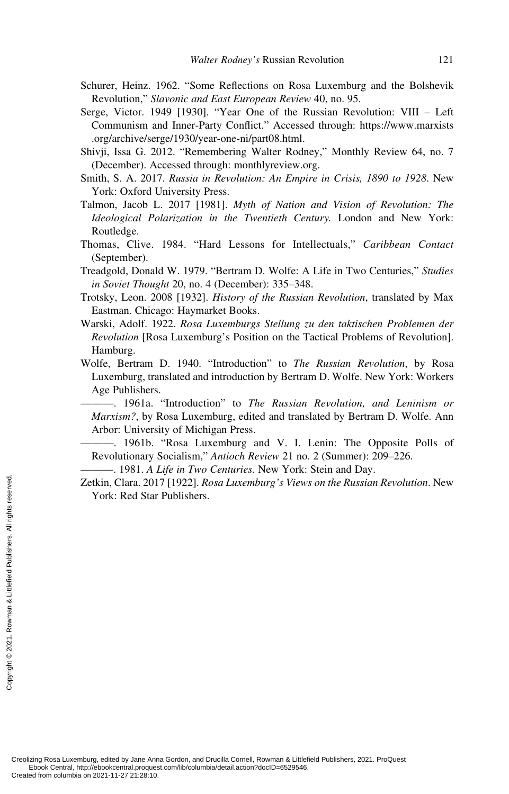- Schurer, Heinz. 1962. "Some Reflections on Rosa Luxemburg and the Bolshevik Revolution," *Slavonic and East European Review* 40, no. 95.
- Serge, Victor. 1949 [1930]. "Year One of the Russian Revolution: VIII Left Communism and Inner-Party Conflict." Accessed through: https://www.marxists .org/archive/serge/1930/year-one-ni/part08.html.
- Shivji, Issa G. 2012. "Remembering Walter Rodney," Monthly Review 64, no. 7 (December). Accessed through: [monthlyreview.org.](http://monthlyreview.org)
- Smith, S. A. 2017. *Russia in Revolution: An Empire in Crisis, 1890 to 1928*. New York: Oxford University Press.
- Talmon, Jacob L. 2017 [1981]. *Myth of Nation and Vision of Revolution: The Ideological Polarization in the Twentieth Century.* London and New York: Routledge.
- Thomas, Clive. 1984. "Hard Lessons for Intellectuals," *Caribbean Contact* (September).
- Treadgold, Donald W. 1979. "Bertram D. Wolfe: A Life in Two Centuries," *Studies in Soviet Thought* 20, no. 4 (December): 335–348.
- Trotsky, Leon. 2008 [1932]. *History of the Russian Revolution*, translated by Max Eastman. Chicago: Haymarket Books.
- Warski, Adolf. 1922. *Rosa Luxemburgs Stellung zu den taktischen Problemen der Revolution* [Rosa Luxemburg's Position on the Tactical Problems of Revolution]. Hamburg.
- Wolfe, Bertram D. 1940. "Introduction" to *The Russian Revolution*, by Rosa Luxemburg, translated and introduction by Bertram D. Wolfe. New York: Workers Age Publishers.
	- ———. 1961a. "Introduction" to *The Russian Revolution, and Leninism or Marxism?*, by Rosa Luxemburg, edited and translated by Bertram D. Wolfe. Ann Arbor: University of Michigan Press.
	- ———. 1961b. "Rosa Luxemburg and V. I. Lenin: The Opposite Polls of Revolutionary Socialism," *Antioch Review* 21 no. 2 (Summer): 209–226.
	- ———. 1981. *A Life in Two Centuries.* New York: Stein and Day.
- Zetkin, Clara. 2017 [1922]. *Rosa Luxemburg's Views on the Russian Revolution*. New York: Red Star Publishers.